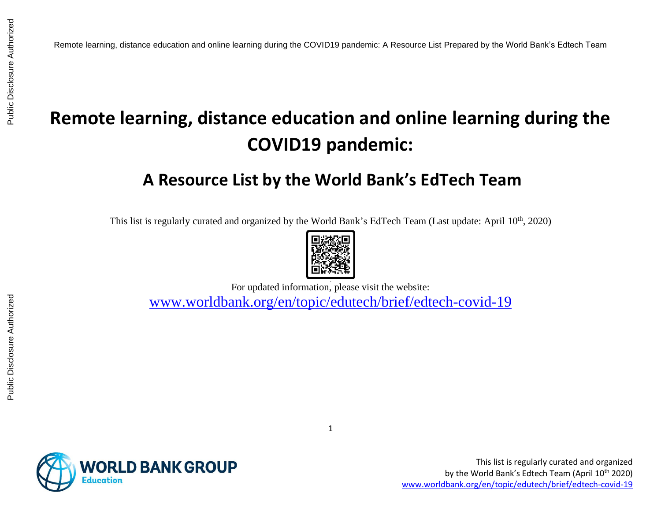# **Remote learning, distance education and online learning during the COVID19 pandemic:**

## **A Resource List by the World Bank's EdTech Team**

This list is regularly curated and organized by the World Bank's EdTech Team (Last update: April 10<sup>th</sup>, 2020)



For updated information, please visit the website: [www.worldbank.org/en/topic/edutech/brief/edtech-covid-19](https://www.worldbank.org/en/topic/edutech/brief/edtech-covid-19)

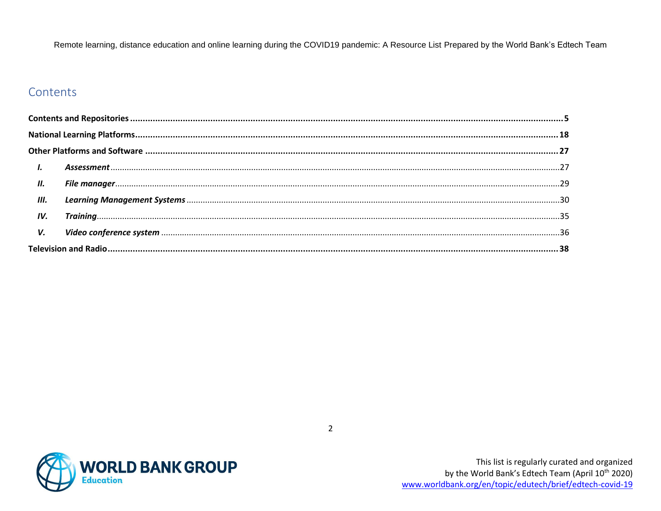### Contents

| $\mathbf{II}$ . |  |
|-----------------|--|
| Ш.              |  |
| IV.             |  |
| $V_{\cdot}$     |  |
|                 |  |

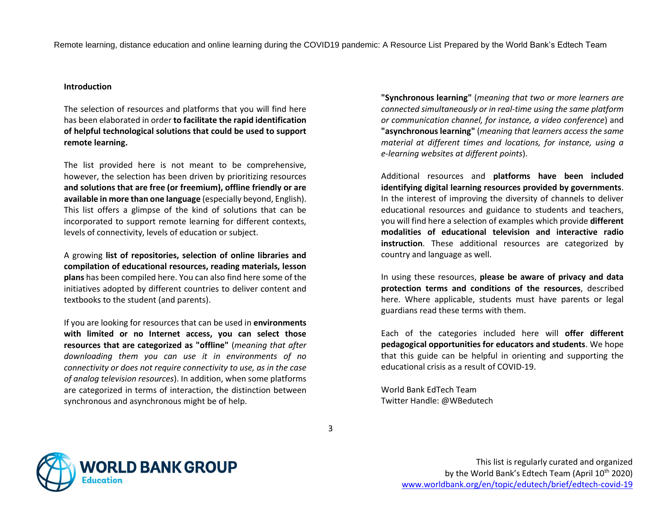#### **Introduction**

The selection of resources and platforms that you will find here has been elaborated in order **to facilitate the rapid identification of helpful technological solutions that could be used to support remote learning.**

The list provided here is not meant to be comprehensive, however, the selection has been driven by prioritizing resources **and solutions that are free (or freemium), offline friendly or are available in more than one language** (especially beyond, English). This list offers a glimpse of the kind of solutions that can be incorporated to support remote learning for different contexts, levels of connectivity, levels of education or subject.

A growing **list of repositories, selection of online libraries and compilation of educational resources, reading materials, lesson plans** has been compiled here. You can also find here some of the initiatives adopted by different countries to deliver content and textbooks to the student (and parents).

If you are looking for resources that can be used in **environments with limited or no Internet access, you can select those resources that are categorized as "offline"** (*meaning that after downloading them you can use it in environments of no connectivity or does not require connectivity to use, as in the case of analog television resources*). In addition, when some platforms are categorized in terms of interaction, the distinction between synchronous and asynchronous might be of help.

**"Synchronous learning"** (*meaning that two or more learners are connected simultaneously or in real-time using the same platform or communication channel, for instance, a video conference*) and **"asynchronous learning"** (*meaning that learners access the same material at different times and locations, for instance, using a e-learning websites at different points*).

Additional resources and **platforms have been included identifying digital learning resources provided by governments**. In the interest of improving the diversity of channels to deliver educational resources and guidance to students and teachers, you will find here a selection of examples which provide **different modalities of educational television and interactive radio instruction**. These additional resources are categorized by country and language as well.

In using these resources, **please be aware of privacy and data protection terms and conditions of the resources**, described here. Where applicable, students must have parents or legal guardians read these terms with them.

Each of the categories included here will **offer different pedagogical opportunities for educators and students**. We hope that this guide can be helpful in orienting and supporting the educational crisis as a result of COVID-19.

World Bank EdTech Team Twitter Handle: @WBedutech

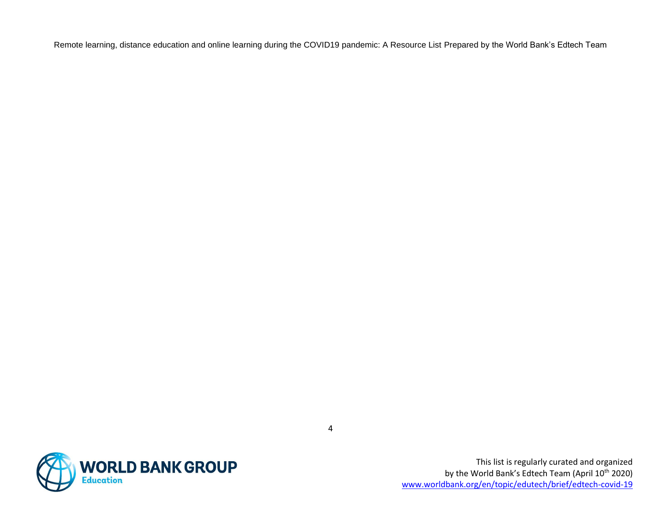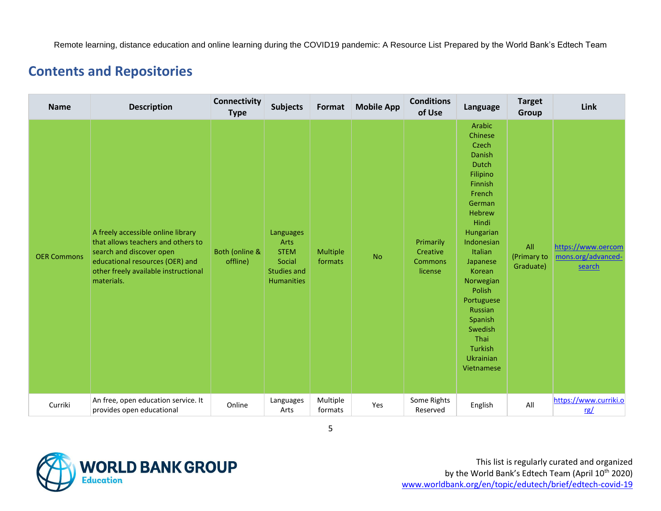## <span id="page-4-0"></span>**Contents and Repositories**

| <b>Name</b>        | <b>Description</b>                                                                                                                                                                            | <b>Connectivity</b><br><b>Type</b> | <b>Subjects</b>                                                                       | Format                     | <b>Mobile App</b> | <b>Conditions</b><br>of Use                        | Language                                                                                                                                                                                                                                                                                                         | <b>Target</b><br>Group          | Link                                               |
|--------------------|-----------------------------------------------------------------------------------------------------------------------------------------------------------------------------------------------|------------------------------------|---------------------------------------------------------------------------------------|----------------------------|-------------------|----------------------------------------------------|------------------------------------------------------------------------------------------------------------------------------------------------------------------------------------------------------------------------------------------------------------------------------------------------------------------|---------------------------------|----------------------------------------------------|
| <b>OER Commons</b> | A freely accessible online library<br>that allows teachers and others to<br>search and discover open<br>educational resources (OER) and<br>other freely available instructional<br>materials. | Both (online &<br>offline)         | Languages<br>Arts<br><b>STEM</b><br>Social<br><b>Studies and</b><br><b>Humanities</b> | <b>Multiple</b><br>formats | <b>No</b>         | Primarily<br>Creative<br><b>Commons</b><br>license | Arabic<br>Chinese<br>Czech<br>Danish<br><b>Dutch</b><br>Filipino<br>Finnish<br>French<br>German<br><b>Hebrew</b><br>Hindi<br>Hungarian<br>Indonesian<br>Italian<br>Japanese<br>Korean<br>Norwegian<br>Polish<br>Portuguese<br>Russian<br>Spanish<br>Swedish<br>Thai<br><b>Turkish</b><br>Ukrainian<br>Vietnamese | All<br>(Primary to<br>Graduate) | https://www.oercom<br>mons.org/advanced-<br>search |
| Curriki            | An free, open education service. It<br>provides open educational                                                                                                                              | Online                             | Languages<br>Arts                                                                     | Multiple<br>formats        | Yes               | Some Rights<br>Reserved                            | English                                                                                                                                                                                                                                                                                                          | All                             | https://www.curriki.o<br><u>rg/</u>                |



This list is regularly curated and organized by the World Bank's Edtech Team (April 10<sup>th</sup> 2020) [www.worldbank.org/en/topic/edutech/brief/edtech-covid-19](http://www.worldbank.org/en/topic/edutech/brief/edtech-covid-19)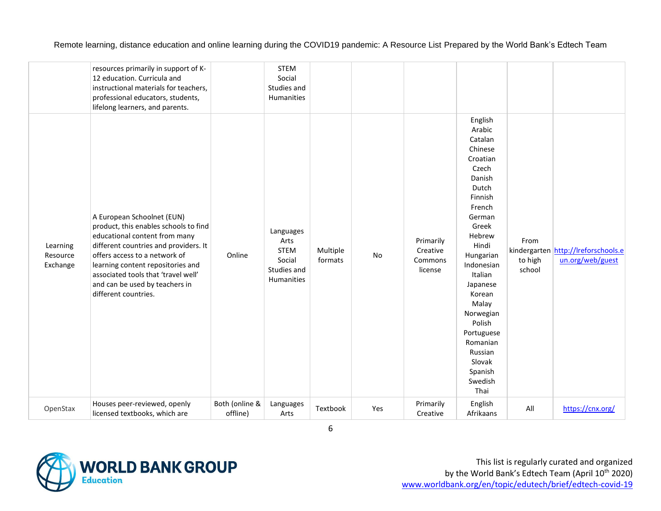|                                  | resources primarily in support of K-<br>12 education. Curricula and<br>instructional materials for teachers,<br>professional educators, students,<br>lifelong learners, and parents.                                                                                                                                 |                            | <b>STEM</b><br>Social<br>Studies and<br>Humanities                      |                     |     |                                             |                                                                                                                                                                                                                                                                                                                     |                           |                                                         |
|----------------------------------|----------------------------------------------------------------------------------------------------------------------------------------------------------------------------------------------------------------------------------------------------------------------------------------------------------------------|----------------------------|-------------------------------------------------------------------------|---------------------|-----|---------------------------------------------|---------------------------------------------------------------------------------------------------------------------------------------------------------------------------------------------------------------------------------------------------------------------------------------------------------------------|---------------------------|---------------------------------------------------------|
| Learning<br>Resource<br>Exchange | A European Schoolnet (EUN)<br>product, this enables schools to find<br>educational content from many<br>different countries and providers. It<br>offers access to a network of<br>learning content repositories and<br>associated tools that 'travel well'<br>and can be used by teachers in<br>different countries. | Online                     | Languages<br>Arts<br><b>STEM</b><br>Social<br>Studies and<br>Humanities | Multiple<br>formats | No  | Primarily<br>Creative<br>Commons<br>license | English<br>Arabic<br>Catalan<br>Chinese<br>Croatian<br>Czech<br>Danish<br>Dutch<br>Finnish<br>French<br>German<br>Greek<br>Hebrew<br>Hindi<br>Hungarian<br>Indonesian<br>Italian<br>Japanese<br>Korean<br>Malay<br>Norwegian<br>Polish<br>Portuguese<br>Romanian<br>Russian<br>Slovak<br>Spanish<br>Swedish<br>Thai | From<br>to high<br>school | kindergarten http://lreforschools.e<br>un.org/web/guest |
| OpenStax                         | Houses peer-reviewed, openly<br>licensed textbooks, which are                                                                                                                                                                                                                                                        | Both (online &<br>offline) | Languages<br>Arts                                                       | Textbook            | Yes | Primarily<br>Creative                       | English<br>Afrikaans                                                                                                                                                                                                                                                                                                | All                       | https://cnx.org/                                        |



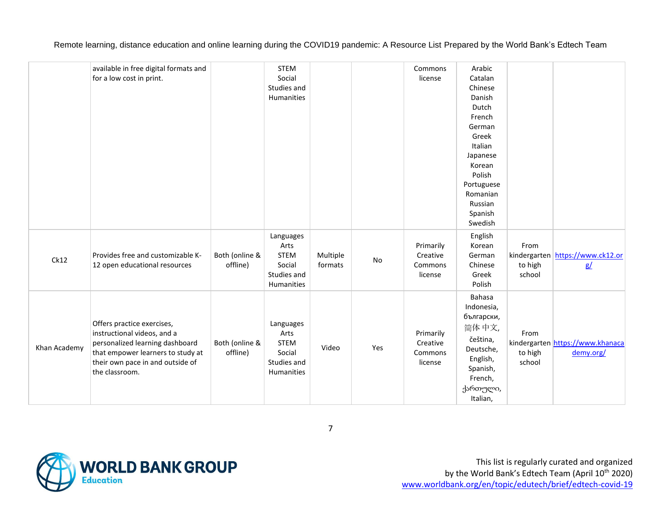|              | available in free digital formats and<br>for a low cost in print.                                                                                                                       |                            | <b>STEM</b><br>Social<br>Studies and<br>Humanities                      |                     |     | Commons<br>license                          | Arabic<br>Catalan<br>Chinese<br>Danish<br>Dutch<br>French<br>German<br>Greek<br>Italian<br>Japanese<br>Korean<br>Polish<br>Portuguese<br>Romanian<br>Russian<br>Spanish<br>Swedish |                           |                                               |
|--------------|-----------------------------------------------------------------------------------------------------------------------------------------------------------------------------------------|----------------------------|-------------------------------------------------------------------------|---------------------|-----|---------------------------------------------|------------------------------------------------------------------------------------------------------------------------------------------------------------------------------------|---------------------------|-----------------------------------------------|
| Ck12         | Provides free and customizable K-<br>12 open educational resources                                                                                                                      | Both (online &<br>offline) | Languages<br>Arts<br><b>STEM</b><br>Social<br>Studies and<br>Humanities | Multiple<br>formats | No  | Primarily<br>Creative<br>Commons<br>license | English<br>Korean<br>German<br>Chinese<br>Greek<br>Polish                                                                                                                          | From<br>to high<br>school | kindergarten https://www.ck12.or<br>g/        |
| Khan Academy | Offers practice exercises,<br>instructional videos, and a<br>personalized learning dashboard<br>that empower learners to study at<br>their own pace in and outside of<br>the classroom. | Both (online &<br>offline) | Languages<br>Arts<br><b>STEM</b><br>Social<br>Studies and<br>Humanities | Video               | Yes | Primarily<br>Creative<br>Commons<br>license | <b>Bahasa</b><br>Indonesia,<br>български,<br>简体 中文,<br>čeština,<br>Deutsche,<br>English,<br>Spanish,<br>French,<br>ქართული,<br>Italian,                                            | From<br>to high<br>school | kindergarten https://www.khanaca<br>demy.org/ |



This list is regularly curated and organized by the World Bank's Edtech Team (April 10<sup>th</sup> 2020) [www.worldbank.org/en/topic/edutech/brief/edtech-covid-19](http://www.worldbank.org/en/topic/edutech/brief/edtech-covid-19)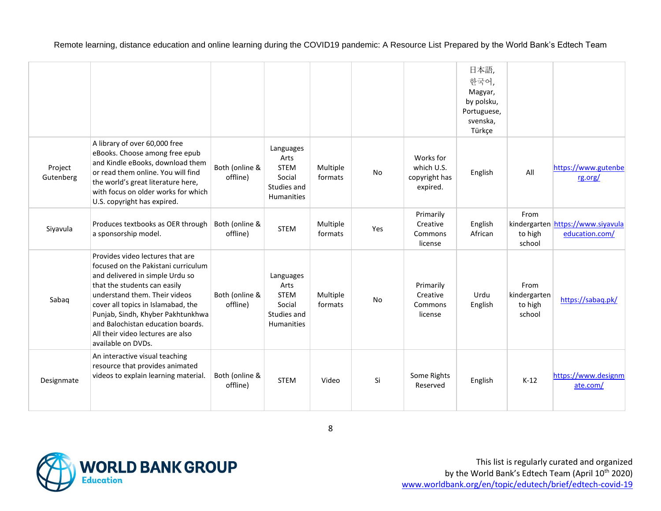|                      |                                                                                                                                                                                                                                                                                                                                                        |                            |                                                                                |                     |     |                                                      | 日本語,<br>한국어,<br>Magyar,<br>by polsku,<br>Portuguese,<br>svenska,<br>Türkce |                                           |                                                     |
|----------------------|--------------------------------------------------------------------------------------------------------------------------------------------------------------------------------------------------------------------------------------------------------------------------------------------------------------------------------------------------------|----------------------------|--------------------------------------------------------------------------------|---------------------|-----|------------------------------------------------------|----------------------------------------------------------------------------|-------------------------------------------|-----------------------------------------------------|
| Project<br>Gutenberg | A library of over 60,000 free<br>eBooks. Choose among free epub<br>and Kindle eBooks, download them<br>or read them online. You will find<br>the world's great literature here,<br>with focus on older works for which<br>U.S. copyright has expired.                                                                                                  | Both (online &<br>offline) | Languages<br>Arts<br><b>STEM</b><br>Social<br>Studies and<br>Humanities        | Multiple<br>formats | No  | Works for<br>which U.S.<br>copyright has<br>expired. | English                                                                    | All                                       | https://www.gutenbe<br>rg.org/                      |
| Siyavula             | Produces textbooks as OER through<br>a sponsorship model.                                                                                                                                                                                                                                                                                              | Both (online &<br>offline) | <b>STEM</b>                                                                    | Multiple<br>formats | Yes | Primarily<br>Creative<br>Commons<br>license          | English<br>African                                                         | From<br>to high<br>school                 | kindergarten https://www.siyavula<br>education.com/ |
| Sabaq                | Provides video lectures that are<br>focused on the Pakistani curriculum<br>and delivered in simple Urdu so<br>that the students can easily<br>understand them. Their videos<br>cover all topics in Islamabad, the<br>Punjab, Sindh, Khyber Pakhtunkhwa<br>and Balochistan education boards.<br>All their video lectures are also<br>available on DVDs. | Both (online &<br>offline) | Languages<br>Arts<br><b>STEM</b><br>Social<br>Studies and<br><b>Humanities</b> | Multiple<br>formats | No  | Primarily<br>Creative<br>Commons<br>license          | Urdu<br>English                                                            | From<br>kindergarten<br>to high<br>school | https://sabaq.pk/                                   |
| Designmate           | An interactive visual teaching<br>resource that provides animated<br>videos to explain learning material.                                                                                                                                                                                                                                              | Both (online &<br>offline) | <b>STEM</b>                                                                    | Video               | Si  | Some Rights<br>Reserved                              | English                                                                    | $K-12$                                    | https://www.designm<br>ate.com/                     |



This list is regularly curated and organized by the World Bank's Edtech Team (April 10<sup>th</sup> 2020) [www.worldbank.org/en/topic/edutech/brief/edtech-covid-19](http://www.worldbank.org/en/topic/edutech/brief/edtech-covid-19)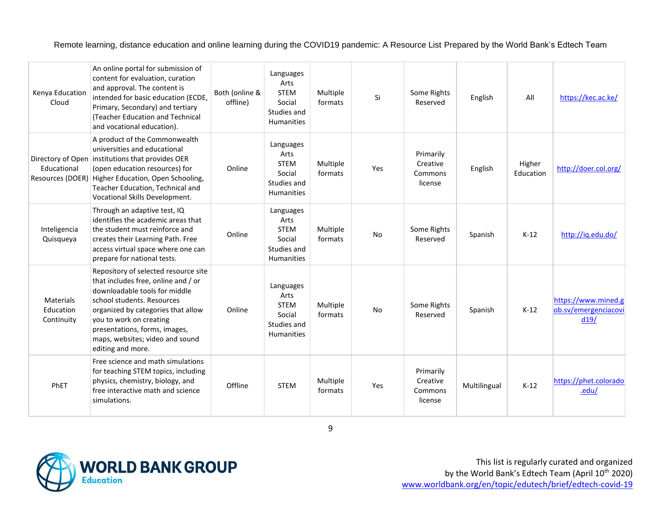| Kenya Education<br>Cloud                    | An online portal for submission of<br>content for evaluation, curation<br>and approval. The content is<br>intended for basic education (ECDE,<br>Primary, Secondary) and tertiary<br>(Teacher Education and Technical<br>and vocational education).                                                  | Both (online &<br>offline) | Languages<br>Arts<br><b>STEM</b><br>Social<br>Studies and<br><b>Humanities</b> | Multiple<br>formats | Si        | Some Rights<br>Reserved                     | English      | All                 | https://kec.ac.ke/                                  |
|---------------------------------------------|------------------------------------------------------------------------------------------------------------------------------------------------------------------------------------------------------------------------------------------------------------------------------------------------------|----------------------------|--------------------------------------------------------------------------------|---------------------|-----------|---------------------------------------------|--------------|---------------------|-----------------------------------------------------|
| Educational                                 | A product of the Commonwealth<br>universities and educational<br>Directory of Open institutions that provides OER<br>(open education resources) for<br>Resources (DOER) Higher Education, Open Schooling,<br>Teacher Education, Technical and<br>Vocational Skills Development.                      | Online                     | Languages<br>Arts<br><b>STEM</b><br>Social<br>Studies and<br><b>Humanities</b> | Multiple<br>formats | Yes       | Primarily<br>Creative<br>Commons<br>license | English      | Higher<br>Education | http://doer.col.org/                                |
| Inteligencia<br>Quisqueya                   | Through an adaptive test, IQ<br>identifies the academic areas that<br>the student must reinforce and<br>creates their Learning Path. Free<br>access virtual space where one can<br>prepare for national tests.                                                                                       | Online                     | Languages<br>Arts<br><b>STEM</b><br>Social<br>Studies and<br><b>Humanities</b> | Multiple<br>formats | <b>No</b> | Some Rights<br>Reserved                     | Spanish      | $K-12$              | http://iq.edu.do/                                   |
| <b>Materials</b><br>Education<br>Continuity | Repository of selected resource site<br>that includes free, online and / or<br>downloadable tools for middle<br>school students. Resources<br>organized by categories that allow<br>you to work on creating<br>presentations, forms, images,<br>maps, websites; video and sound<br>editing and more. | Online                     | Languages<br>Arts<br><b>STEM</b><br>Social<br>Studies and<br><b>Humanities</b> | Multiple<br>formats | <b>No</b> | Some Rights<br>Reserved                     | Spanish      | $K-12$              | https://www.mined.g<br>ob.sv/emergenciacovi<br>d19/ |
| PhET                                        | Free science and math simulations<br>for teaching STEM topics, including<br>physics, chemistry, biology, and<br>free interactive math and science<br>simulations.                                                                                                                                    | Offline                    | <b>STEM</b>                                                                    | Multiple<br>formats | Yes       | Primarily<br>Creative<br>Commons<br>license | Multilingual | $K-12$              | https://phet.colorado<br>.edu/                      |



This list is regularly curated and organized by the World Bank's Edtech Team (April 10<sup>th</sup> 2020) [www.worldbank.org/en/topic/edutech/brief/edtech-covid-19](http://www.worldbank.org/en/topic/edutech/brief/edtech-covid-19)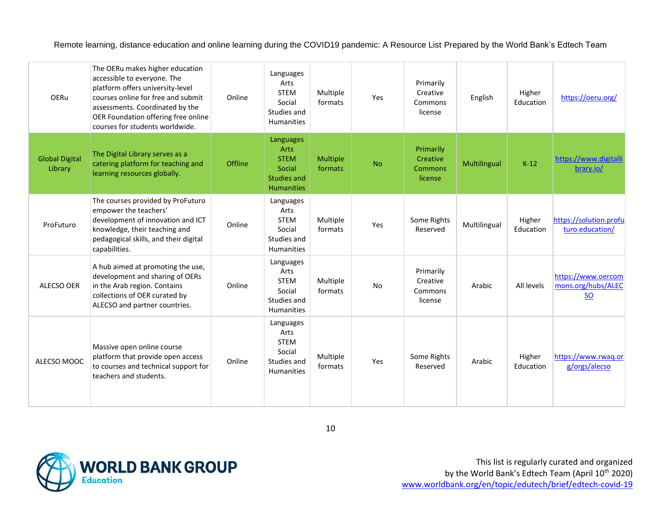| <b>OERu</b>                      | The OERu makes higher education<br>accessible to everyone. The<br>platform offers university-level<br>courses online for free and submit<br>assessments. Coordinated by the<br>OER Foundation offering free online<br>courses for students worldwide. | Online  | Languages<br>Arts<br><b>STEM</b><br>Social<br>Studies and<br>Humanities               | Multiple<br>formats        | Yes       | Primarily<br>Creative<br>Commons<br>license        | English      | Higher<br>Education | https://oeru.org/                               |
|----------------------------------|-------------------------------------------------------------------------------------------------------------------------------------------------------------------------------------------------------------------------------------------------------|---------|---------------------------------------------------------------------------------------|----------------------------|-----------|----------------------------------------------------|--------------|---------------------|-------------------------------------------------|
| <b>Global Digital</b><br>Library | The Digital Library serves as a<br>catering platform for teaching and<br>learning resources globally.                                                                                                                                                 | Offline | Languages<br>Arts<br><b>STEM</b><br>Social<br><b>Studies and</b><br><b>Humanities</b> | <b>Multiple</b><br>formats | <b>No</b> | Primarily<br>Creative<br><b>Commons</b><br>license | Multilingual | $K-12$              | https://www.digitalli<br>brary.io/              |
| ProFuturo                        | The courses provided by ProFuturo<br>empower the teachers'<br>development of innovation and ICT<br>knowledge, their teaching and<br>pedagogical skills, and their digital<br>capabilities.                                                            | Online  | Languages<br>Arts<br><b>STEM</b><br>Social<br>Studies and<br>Humanities               | Multiple<br>formats        | Yes       | Some Rights<br>Reserved                            | Multilingual | Higher<br>Education | https://solution.profu<br>turo.education/       |
| <b>ALECSO OER</b>                | A hub aimed at promoting the use,<br>development and sharing of OERs<br>in the Arab region. Contains<br>collections of OER curated by<br>ALECSO and partner countries.                                                                                | Online  | Languages<br>Arts<br><b>STEM</b><br>Social<br>Studies and<br>Humanities               | Multiple<br>formats        | <b>No</b> | Primarily<br>Creative<br>Commons<br>license        | Arabic       | All levels          | https://www.oercom<br>mons.org/hubs/ALEC<br>$S$ |
| ALECSO MOOC                      | Massive open online course<br>platform that provide open access<br>to courses and technical support for<br>teachers and students.                                                                                                                     | Online  | Languages<br>Arts<br><b>STEM</b><br>Social<br>Studies and<br><b>Humanities</b>        | Multiple<br>formats        | Yes       | Some Rights<br>Reserved                            | Arabic       | Higher<br>Education | https://www.rwag.or<br>g/orgs/alecso            |



This list is regularly curated and organized by the World Bank's Edtech Team (April 10<sup>th</sup> 2020) [www.worldbank.org/en/topic/edutech/brief/edtech-covid-19](http://www.worldbank.org/en/topic/edutech/brief/edtech-covid-19)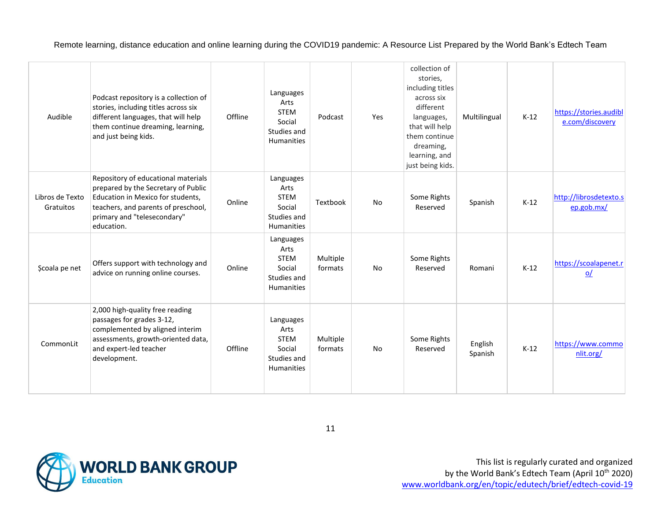| Audible                      | Podcast repository is a collection of<br>stories, including titles across six<br>different languages, that will help<br>them continue dreaming, learning,<br>and just being kids.                   | Offline | Languages<br>Arts<br><b>STEM</b><br>Social<br>Studies and<br>Humanities | Podcast             | Yes       | collection of<br>stories,<br>including titles<br>across six<br>different<br>languages,<br>that will help<br>them continue<br>dreaming,<br>learning, and<br>just being kids. | Multilingual       | $K-12$ | https://stories.audibl<br>e.com/discovery |
|------------------------------|-----------------------------------------------------------------------------------------------------------------------------------------------------------------------------------------------------|---------|-------------------------------------------------------------------------|---------------------|-----------|-----------------------------------------------------------------------------------------------------------------------------------------------------------------------------|--------------------|--------|-------------------------------------------|
| Libros de Texto<br>Gratuitos | Repository of educational materials<br>prepared by the Secretary of Public<br>Education in Mexico for students,<br>teachers, and parents of preschool,<br>primary and "telesecondary"<br>education. | Online  | Languages<br>Arts<br><b>STEM</b><br>Social<br>Studies and<br>Humanities | Textbook            | No        | Some Rights<br>Reserved                                                                                                                                                     | Spanish            | $K-12$ | http://librosdetexto.s<br>ep.gob.mx/      |
| Școala pe net                | Offers support with technology and<br>advice on running online courses.                                                                                                                             | Online  | Languages<br>Arts<br><b>STEM</b><br>Social<br>Studies and<br>Humanities | Multiple<br>formats | <b>No</b> | Some Rights<br>Reserved                                                                                                                                                     | Romani             | $K-12$ | https://scoalapenet.r<br>Q                |
| CommonLit                    | 2,000 high-quality free reading<br>passages for grades 3-12,<br>complemented by aligned interim<br>assessments, growth-oriented data,<br>and expert-led teacher<br>development.                     | Offline | Languages<br>Arts<br><b>STEM</b><br>Social<br>Studies and<br>Humanities | Multiple<br>formats | No        | Some Rights<br>Reserved                                                                                                                                                     | English<br>Spanish | $K-12$ | https://www.commo<br>nlit.org/            |



This list is regularly curated and organized by the World Bank's Edtech Team (April 10<sup>th</sup> 2020) [www.worldbank.org/en/topic/edutech/brief/edtech-covid-19](http://www.worldbank.org/en/topic/edutech/brief/edtech-covid-19)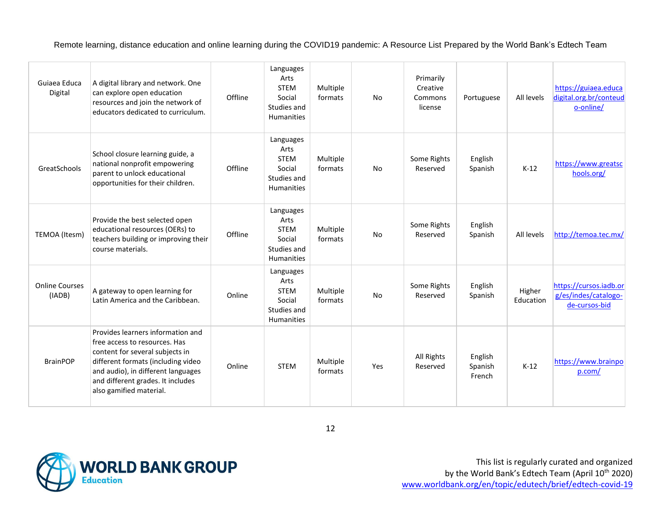| Guiaea Educa<br>Digital         | A digital library and network. One<br>can explore open education<br>resources and join the network of<br>educators dedicated to curriculum.                                                                                                       | Offline | Languages<br>Arts<br><b>STEM</b><br>Social<br>Studies and<br>Humanities | Multiple<br>formats | <b>No</b> | Primarily<br>Creative<br>Commons<br>license | Portuguese                   | All levels          | https://guiaea.educa<br>digital.org.br/conteud<br>o-online/     |
|---------------------------------|---------------------------------------------------------------------------------------------------------------------------------------------------------------------------------------------------------------------------------------------------|---------|-------------------------------------------------------------------------|---------------------|-----------|---------------------------------------------|------------------------------|---------------------|-----------------------------------------------------------------|
| GreatSchools                    | School closure learning guide, a<br>national nonprofit empowering<br>parent to unlock educational<br>opportunities for their children.                                                                                                            | Offline | Languages<br>Arts<br><b>STEM</b><br>Social<br>Studies and<br>Humanities | Multiple<br>formats | <b>No</b> | Some Rights<br>Reserved                     | English<br>Spanish           | $K-12$              | https://www.greatsc<br>hools.org/                               |
| TEMOA (Itesm)                   | Provide the best selected open<br>educational resources (OERs) to<br>teachers building or improving their<br>course materials.                                                                                                                    | Offline | Languages<br>Arts<br><b>STEM</b><br>Social<br>Studies and<br>Humanities | Multiple<br>formats | <b>No</b> | Some Rights<br>Reserved                     | English<br>Spanish           | All levels          | http://temoa.tec.mx/                                            |
| <b>Online Courses</b><br>(IADB) | A gateway to open learning for<br>Latin America and the Caribbean.                                                                                                                                                                                | Online  | Languages<br>Arts<br><b>STEM</b><br>Social<br>Studies and<br>Humanities | Multiple<br>formats | <b>No</b> | Some Rights<br>Reserved                     | English<br>Spanish           | Higher<br>Education | https://cursos.iadb.or<br>g/es/indes/catalogo-<br>de-cursos-bid |
| <b>BrainPOP</b>                 | Provides learners information and<br>free access to resources. Has<br>content for several subjects in<br>different formats (including video<br>and audio), in different languages<br>and different grades. It includes<br>also gamified material. | Online  | <b>STEM</b>                                                             | Multiple<br>formats | Yes       | All Rights<br>Reserved                      | English<br>Spanish<br>French | $K-12$              | https://www.brainpo<br>p.com/                                   |



This list is regularly curated and organized by the World Bank's Edtech Team (April 10<sup>th</sup> 2020) [www.worldbank.org/en/topic/edutech/brief/edtech-covid-19](http://www.worldbank.org/en/topic/edutech/brief/edtech-covid-19)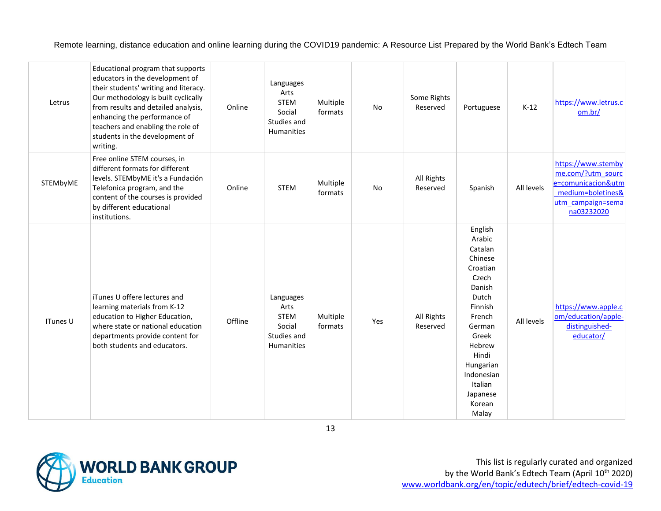| Letrus          | Educational program that supports<br>educators in the development of<br>their students' writing and literacy.<br>Our methodology is built cyclically<br>from results and detailed analysis,<br>enhancing the performance of<br>teachers and enabling the role of<br>students in the development of<br>writing. | Online  | Languages<br>Arts<br><b>STEM</b><br>Social<br>Studies and<br>Humanities | Multiple<br>formats | No        | Some Rights<br>Reserved | Portuguese                                                                                                                                                                                                      | $K-12$     | https://www.letrus.c<br>om.br/                                                                                        |
|-----------------|----------------------------------------------------------------------------------------------------------------------------------------------------------------------------------------------------------------------------------------------------------------------------------------------------------------|---------|-------------------------------------------------------------------------|---------------------|-----------|-------------------------|-----------------------------------------------------------------------------------------------------------------------------------------------------------------------------------------------------------------|------------|-----------------------------------------------------------------------------------------------------------------------|
| STEMbyME        | Free online STEM courses, in<br>different formats for different<br>levels. STEMbyME it's a Fundación<br>Telefonica program, and the<br>content of the courses is provided<br>by different educational<br>institutions.                                                                                         | Online  | <b>STEM</b>                                                             | Multiple<br>formats | <b>No</b> | All Rights<br>Reserved  | Spanish                                                                                                                                                                                                         | All levels | https://www.stemby<br>me.com/?utm_sourc<br>e=comunicacion&utm<br>medium=boletines&<br>utm campaign=sema<br>na03232020 |
| <b>ITunes U</b> | iTunes U offere lectures and<br>learning materials from K-12<br>education to Higher Education,<br>where state or national education<br>departments provide content for<br>both students and educators.                                                                                                         | Offline | Languages<br>Arts<br><b>STEM</b><br>Social<br>Studies and<br>Humanities | Multiple<br>formats | Yes       | All Rights<br>Reserved  | English<br>Arabic<br>Catalan<br>Chinese<br>Croatian<br>Czech<br>Danish<br>Dutch<br>Finnish<br>French<br>German<br>Greek<br>Hebrew<br>Hindi<br>Hungarian<br>Indonesian<br>Italian<br>Japanese<br>Korean<br>Malay | All levels | https://www.apple.c<br>om/education/apple-<br>distinguished-<br>educator/                                             |



This list is regularly curated and organized by the World Bank's Edtech Team (April 10<sup>th</sup> 2020) [www.worldbank.org/en/topic/edutech/brief/edtech-covid-19](http://www.worldbank.org/en/topic/edutech/brief/edtech-covid-19)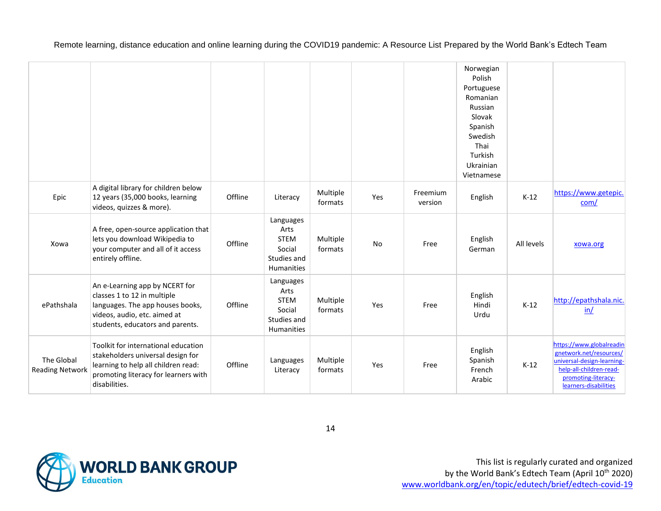|                                      |                                                                                                                                                                          |         |                                                                                |                     |     |                     | Norwegian<br>Polish<br>Portuguese<br>Romanian<br>Russian<br>Slovak<br>Spanish<br>Swedish<br>Thai<br>Turkish<br>Ukrainian<br>Vietnamese |            |                                                                                                                                                              |
|--------------------------------------|--------------------------------------------------------------------------------------------------------------------------------------------------------------------------|---------|--------------------------------------------------------------------------------|---------------------|-----|---------------------|----------------------------------------------------------------------------------------------------------------------------------------|------------|--------------------------------------------------------------------------------------------------------------------------------------------------------------|
| Epic                                 | A digital library for children below<br>12 years (35,000 books, learning<br>videos, quizzes & more).                                                                     | Offline | Literacy                                                                       | Multiple<br>formats | Yes | Freemium<br>version | English                                                                                                                                | $K-12$     | https://www.getepic.<br>com/                                                                                                                                 |
| Xowa                                 | A free, open-source application that<br>lets you download Wikipedia to<br>your computer and all of it access<br>entirely offline.                                        | Offline | Languages<br>Arts<br><b>STEM</b><br>Social<br>Studies and<br>Humanities        | Multiple<br>formats | No  | Free                | English<br>German                                                                                                                      | All levels | xowa.org                                                                                                                                                     |
| ePathshala                           | An e-Learning app by NCERT for<br>classes 1 to 12 in multiple<br>languages. The app houses books,<br>videos, audio, etc. aimed at<br>students, educators and parents.    | Offline | Languages<br>Arts<br><b>STEM</b><br>Social<br>Studies and<br><b>Humanities</b> | Multiple<br>formats | Yes | Free                | English<br>Hindi<br>Urdu                                                                                                               | $K-12$     | http://epathshala.nic.<br>$\mathbf{in}$ /                                                                                                                    |
| The Global<br><b>Reading Network</b> | Toolkit for international education<br>stakeholders universal design for<br>learning to help all children read:<br>promoting literacy for learners with<br>disabilities. | Offline | Languages<br>Literacy                                                          | Multiple<br>formats | Yes | Free                | English<br>Spanish<br>French<br>Arabic                                                                                                 | $K-12$     | https://www.globalreadin<br>gnetwork.net/resources/<br>universal-design-learning-<br>help-all-children-read-<br>promoting-literacy-<br>learners-disabilities |



This list is regularly curated and organized by the World Bank's Edtech Team (April 10<sup>th</sup> 2020) [www.worldbank.org/en/topic/edutech/brief/edtech-covid-19](http://www.worldbank.org/en/topic/edutech/brief/edtech-covid-19)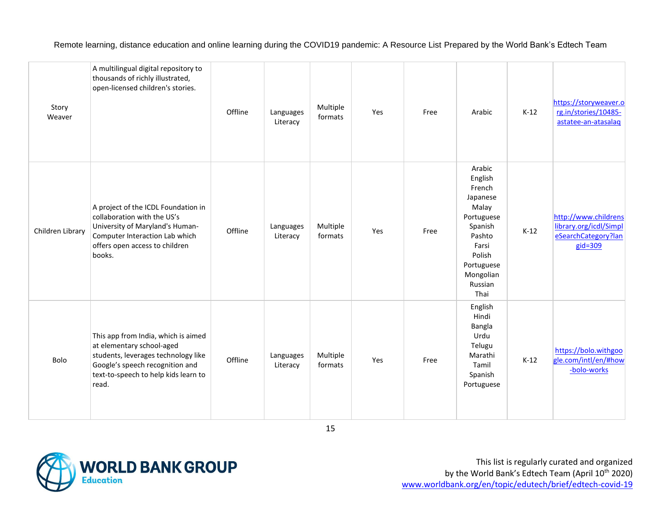| Story<br>Weaver  | A multilingual digital repository to<br>thousands of richly illustrated,<br>open-licensed children's stories.                                                                               | Offline | Languages<br>Literacy | Multiple<br>formats | Yes | Free | Arabic                                                                                                                                               | $K-12$ | https://storyweaver.o<br>rg.in/stories/10485-<br>astatee-an-atasalaq                 |
|------------------|---------------------------------------------------------------------------------------------------------------------------------------------------------------------------------------------|---------|-----------------------|---------------------|-----|------|------------------------------------------------------------------------------------------------------------------------------------------------------|--------|--------------------------------------------------------------------------------------|
| Children Library | A project of the ICDL Foundation in<br>collaboration with the US's<br>University of Maryland's Human-<br>Computer Interaction Lab which<br>offers open access to children<br>books.         | Offline | Languages<br>Literacy | Multiple<br>formats | Yes | Free | Arabic<br>English<br>French<br>Japanese<br>Malay<br>Portuguese<br>Spanish<br>Pashto<br>Farsi<br>Polish<br>Portuguese<br>Mongolian<br>Russian<br>Thai | $K-12$ | http://www.childrens<br>library.org/icdl/Simpl<br>eSearchCategory?lan<br>$gid = 309$ |
| Bolo             | This app from India, which is aimed<br>at elementary school-aged<br>students, leverages technology like<br>Google's speech recognition and<br>text-to-speech to help kids learn to<br>read. | Offline | Languages<br>Literacy | Multiple<br>formats | Yes | Free | English<br>Hindi<br>Bangla<br>Urdu<br>Telugu<br>Marathi<br>Tamil<br>Spanish<br>Portuguese                                                            | $K-12$ | https://bolo.withgoo<br>gle.com/intl/en/#how<br>-bolo-works                          |



This list is regularly curated and organized by the World Bank's Edtech Team (April 10<sup>th</sup> 2020) [www.worldbank.org/en/topic/edutech/brief/edtech-covid-19](http://www.worldbank.org/en/topic/edutech/brief/edtech-covid-19)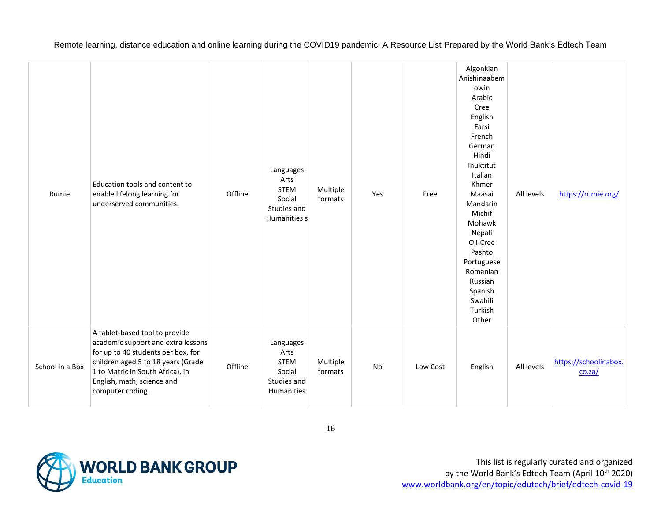| Rumie           | Education tools and content to<br>enable lifelong learning for<br>underserved communities.                                                                                                                                             | Offline | Languages<br>Arts<br><b>STEM</b><br>Social<br>Studies and<br><b>Humanities s</b> | Multiple<br>formats | Yes | Free     | Algonkian<br>Anishinaabem<br>owin<br>Arabic<br>Cree<br>English<br>Farsi<br>French<br>German<br>Hindi<br>Inuktitut<br>Italian<br>Khmer<br>Maasai<br>Mandarin<br>Michif<br>Mohawk<br>Nepali<br>Oji-Cree<br>Pashto<br>Portuguese<br>Romanian<br>Russian<br>Spanish<br>Swahili<br>Turkish<br>Other | All levels | https://rumie.org/                                           |
|-----------------|----------------------------------------------------------------------------------------------------------------------------------------------------------------------------------------------------------------------------------------|---------|----------------------------------------------------------------------------------|---------------------|-----|----------|------------------------------------------------------------------------------------------------------------------------------------------------------------------------------------------------------------------------------------------------------------------------------------------------|------------|--------------------------------------------------------------|
| School in a Box | A tablet-based tool to provide<br>academic support and extra lessons<br>for up to 40 students per box, for<br>children aged 5 to 18 years (Grade<br>1 to Matric in South Africa), in<br>English, math, science and<br>computer coding. | Offline | Languages<br>Arts<br><b>STEM</b><br>Social<br>Studies and<br>Humanities          | Multiple<br>formats | No  | Low Cost | English                                                                                                                                                                                                                                                                                        | All levels | https://schoolinabox.<br>$\frac{\text{co.za}}{\text{co.za}}$ |



This list is regularly curated and organized by the World Bank's Edtech Team (April 10<sup>th</sup> 2020) [www.worldbank.org/en/topic/edutech/brief/edtech-covid-19](http://www.worldbank.org/en/topic/edutech/brief/edtech-covid-19)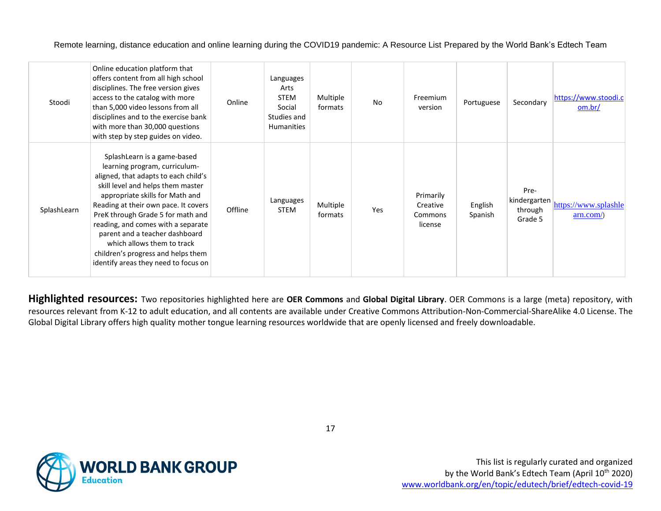| Stoodi      | Online education platform that<br>offers content from all high school<br>disciplines. The free version gives<br>access to the catalog with more<br>than 5,000 video lessons from all<br>disciplines and to the exercise bank<br>with more than 30,000 questions<br>with step by step guides on video.                                                                                                                                         | Online  | Languages<br>Arts<br>STEM<br>Social<br>Studies and<br><b>Humanities</b> | Multiple<br>formats | <b>No</b> | Freemium<br>version                         | Portuguese         | Secondary                                  | https://www.stoodi.c<br>om.br/      |
|-------------|-----------------------------------------------------------------------------------------------------------------------------------------------------------------------------------------------------------------------------------------------------------------------------------------------------------------------------------------------------------------------------------------------------------------------------------------------|---------|-------------------------------------------------------------------------|---------------------|-----------|---------------------------------------------|--------------------|--------------------------------------------|-------------------------------------|
| SplashLearn | SplashLearn is a game-based<br>learning program, curriculum-<br>aligned, that adapts to each child's<br>skill level and helps them master<br>appropriate skills for Math and<br>Reading at their own pace. It covers<br>PreK through Grade 5 for math and<br>reading, and comes with a separate<br>parent and a teacher dashboard<br>which allows them to track<br>children's progress and helps them<br>identify areas they need to focus on | Offline | Languages<br><b>STEM</b>                                                | Multiple<br>formats | Yes       | Primarily<br>Creative<br>Commons<br>license | English<br>Spanish | Pre-<br>kindergarten<br>through<br>Grade 5 | https://www.splashle<br>$arn.com$ ) |

**Highlighted resources:** Two repositories highlighted here are **OER Commons** and **Global Digital Library**. OER Commons is a large (meta) repository, with resources relevant from K-12 to adult education, and all contents are available under Creative Commons Attribution-Non-Commercial-ShareAlike 4.0 License. The Global Digital Library offers high quality mother tongue learning resources worldwide that are openly licensed and freely downloadable.

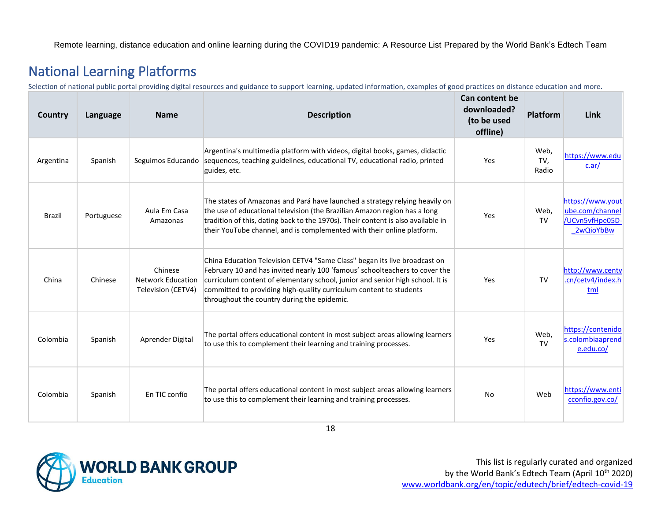## <span id="page-17-0"></span>National Learning Platforms

Selection of national public portal providing digital resources and guidance to support learning, updated information, examples of good practices on distance education and more.

| <b>Country</b> | Language   | <b>Name</b>                                               | <b>Description</b>                                                                                                                                                                                                                                                                                                                                             | Can content be<br>downloaded?<br>(to be used<br>offline) | Platform             | Link                                                                |
|----------------|------------|-----------------------------------------------------------|----------------------------------------------------------------------------------------------------------------------------------------------------------------------------------------------------------------------------------------------------------------------------------------------------------------------------------------------------------------|----------------------------------------------------------|----------------------|---------------------------------------------------------------------|
| Argentina      | Spanish    | Seguimos Educando                                         | Argentina's multimedia platform with videos, digital books, games, didactic<br>sequences, teaching guidelines, educational TV, educational radio, printed<br>guides, etc.                                                                                                                                                                                      | Yes                                                      | Web,<br>TV,<br>Radio | https://www.edu<br>$c.$ ar/                                         |
| <b>Brazil</b>  | Portuguese | Aula Em Casa<br>Amazonas                                  | The states of Amazonas and Pará have launched a strategy relying heavily on<br>the use of educational television (the Brazilian Amazon region has a long<br>tradition of this, dating back to the 1970s). Their content is also available in<br>their YouTube channel, and is complemented with their online platform.                                         | Yes                                                      | Web,<br><b>TV</b>    | https://www.yout<br>ube.com/channel<br>/UCvn5vfHpe05D-<br>2wQioYbBw |
| China          | Chinese    | Chinese<br><b>Network Education</b><br>Television (CETV4) | China Education Television CETV4 "Same Class" began its live broadcast on<br>February 10 and has invited nearly 100 'famous' schoolteachers to cover the<br>curriculum content of elementary school, junior and senior high school. It is<br>committed to providing high-quality curriculum content to students<br>throughout the country during the epidemic. | Yes                                                      | <b>TV</b>            | http://www.centv<br>.cn/cetv4/index.h<br>tml                        |
| Colombia       | Spanish    | Aprender Digital                                          | The portal offers educational content in most subject areas allowing learners<br>to use this to complement their learning and training processes.                                                                                                                                                                                                              | Yes                                                      | Web,<br><b>TV</b>    | https://contenido<br>s.colombiaaprend<br>e.edu.co/                  |
| Colombia       | Spanish    | En TIC confío                                             | The portal offers educational content in most subject areas allowing learners<br>to use this to complement their learning and training processes.                                                                                                                                                                                                              | <b>No</b>                                                | Web                  | https://www.enti<br>cconfio.gov.co/                                 |

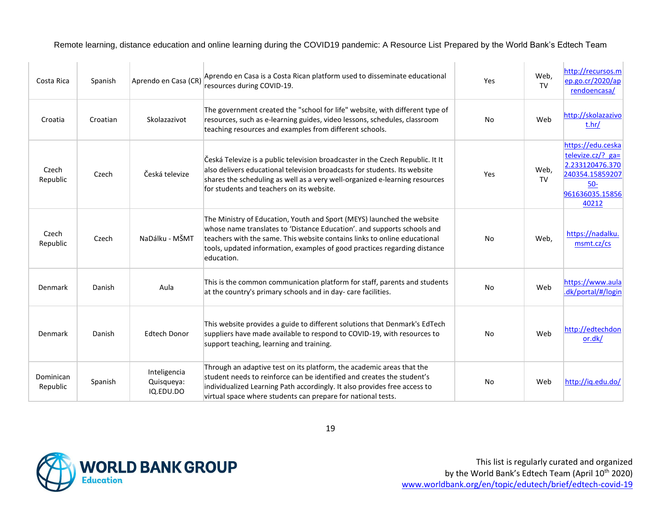| Costa Rica            | Spanish  | Aprendo en Casa (CR)                    | Aprendo en Casa is a Costa Rican platform used to disseminate educational<br>resources during COVID-19.                                                                                                                                                                                                                   | Yes       | Web,<br><b>TV</b> | http://recursos.m<br>ep.go.cr/2020/ap<br>rendoencasa/                                                             |
|-----------------------|----------|-----------------------------------------|---------------------------------------------------------------------------------------------------------------------------------------------------------------------------------------------------------------------------------------------------------------------------------------------------------------------------|-----------|-------------------|-------------------------------------------------------------------------------------------------------------------|
| Croatia               | Croatian | Skolazazivot                            | The government created the "school for life" website, with different type of<br>resources, such as e-learning guides, video lessons, schedules, classroom<br>teaching resources and examples from different schools.                                                                                                      | No        | Web               | http://skolazazivo<br>$t.$ hr/                                                                                    |
| Czech<br>Republic     | Czech    | Česká televize                          | Česká Televize is a public television broadcaster in the Czech Republic. It It<br>also delivers educational television broadcasts for students. Its website<br>shares the scheduling as well as a very well-organized e-learning resources<br>for students and teachers on its website.                                   | Yes       | Web,<br><b>TV</b> | https://edu.ceska<br>televize.cz/? ga=<br>2.233120476.370<br>240354.15859207<br>$50-$<br>961636035.15856<br>40212 |
| Czech<br>Republic     | Czech    | NaDálku - MŠMT                          | The Ministry of Education, Youth and Sport (MEYS) launched the website<br>whose name translates to 'Distance Education'. and supports schools and<br>teachers with the same. This website contains links to online educational<br>tools, updated information, examples of good practices regarding distance<br>education. | <b>No</b> | Web,              | https://nadalku.<br>msmt.cz/cs                                                                                    |
| Denmark               | Danish   | Aula                                    | This is the common communication platform for staff, parents and students<br>at the country's primary schools and in day-care facilities.                                                                                                                                                                                 | No        | Web               | https://www.aula<br>.dk/portal/#/login                                                                            |
| Denmark               | Danish   | <b>Edtech Donor</b>                     | This website provides a guide to different solutions that Denmark's EdTech<br>suppliers have made available to respond to COVID-19, with resources to<br>support teaching, learning and training.                                                                                                                         | <b>No</b> | Web               | http://edtechdon<br>or.dk/                                                                                        |
| Dominican<br>Republic | Spanish  | Inteligencia<br>Quisqueya:<br>IQ.EDU.DO | Through an adaptive test on its platform, the academic areas that the<br>student needs to reinforce can be identified and creates the student's<br>individualized Learning Path accordingly. It also provides free access to<br>virtual space where students can prepare for national tests.                              | <b>No</b> | Web               | http://iq.edu.do/                                                                                                 |

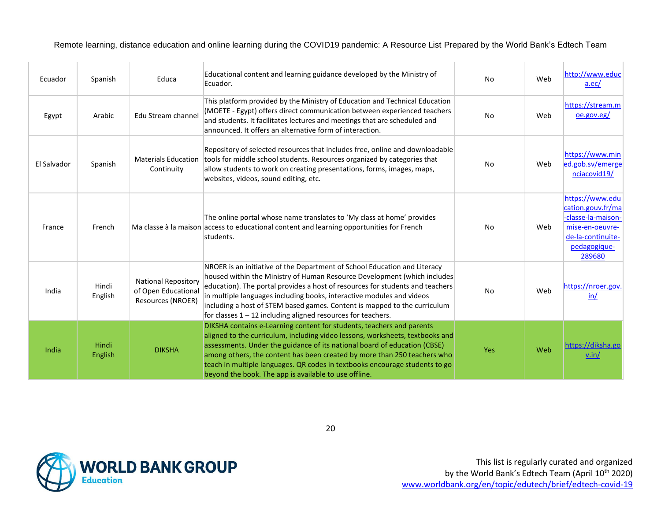| Ecuador     | Spanish          | Educa                                                                  | Educational content and learning guidance developed by the Ministry of<br>Ecuador.                                                                                                                                                                                                                                                                                                                                                                             | <b>No</b> | Web | http://www.educ<br>a.ec/                                                                                                     |
|-------------|------------------|------------------------------------------------------------------------|----------------------------------------------------------------------------------------------------------------------------------------------------------------------------------------------------------------------------------------------------------------------------------------------------------------------------------------------------------------------------------------------------------------------------------------------------------------|-----------|-----|------------------------------------------------------------------------------------------------------------------------------|
| Egypt       | Arabic           | Edu Stream channel                                                     | This platform provided by the Ministry of Education and Technical Education<br>(MOETE - Egypt) offers direct communication between experienced teachers<br>and students. It facilitates lectures and meetings that are scheduled and<br>announced. It offers an alternative form of interaction.                                                                                                                                                               | No        | Web | https://stream.m<br>oe.gov.eg/                                                                                               |
| El Salvador | Spanish          | <b>Materials Education</b><br>Continuity                               | Repository of selected resources that includes free, online and downloadable<br>tools for middle school students. Resources organized by categories that<br>allow students to work on creating presentations, forms, images, maps,<br>websites, videos, sound editing, etc.                                                                                                                                                                                    | No        | Web | https://www.min<br>ed.gob.sv/emerge<br>nciacovid19/                                                                          |
| France      | French           |                                                                        | The online portal whose name translates to 'My class at home' provides<br>Ma classe à la maison access to educational content and learning opportunities for French<br>students.                                                                                                                                                                                                                                                                               | No        | Web | https://www.edu<br>cation.gouv.fr/ma<br>-classe-la-maison-<br>mise-en-oeuvre-<br>de-la-continuite-<br>pedagogique-<br>289680 |
| India       | Hindi<br>English | <b>National Repository</b><br>of Open Educational<br>Resources (NROER) | NROER is an initiative of the Department of School Education and Literacy<br>housed within the Ministry of Human Resource Development (which includes<br>education). The portal provides a host of resources for students and teachers<br>in multiple languages including books, interactive modules and videos<br>including a host of STEM based games. Content is mapped to the curriculum<br>for classes $1 - 12$ including aligned resources for teachers. | <b>No</b> | Web | https://nroer.gov.<br>$\frac{\text{in}}{\ }$                                                                                 |
| India       | Hindi<br>English | <b>DIKSHA</b>                                                          | DIKSHA contains e-Learning content for students, teachers and parents<br>aligned to the curriculum, including video lessons, worksheets, textbooks and<br>assessments. Under the guidance of its national board of education (CBSE)<br>among others, the content has been created by more than 250 teachers who<br>teach in multiple languages. QR codes in textbooks encourage students to go<br>beyond the book. The app is available to use offline.        | Yes       | Web | https://diksha.go<br>v.in/                                                                                                   |

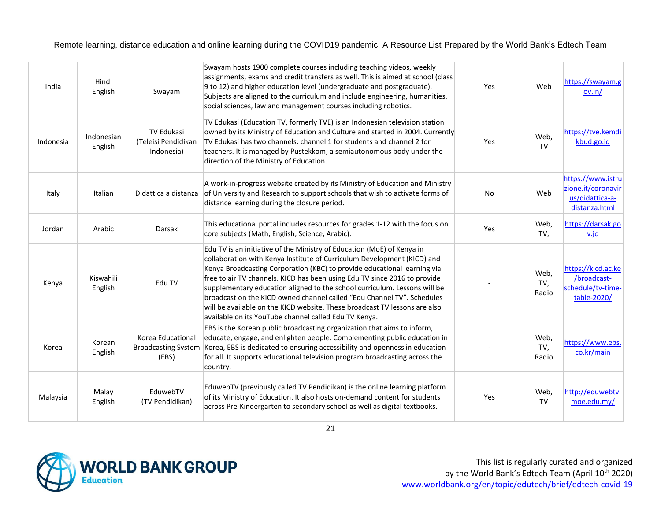| India     | Hindi<br>English      | Swayam                                                   | Swayam hosts 1900 complete courses including teaching videos, weekly<br>assignments, exams and credit transfers as well. This is aimed at school (class<br>9 to 12) and higher education level (undergraduate and postgraduate).<br>Subjects are aligned to the curriculum and include engineering, humanities,<br>social sciences, law and management courses including robotics.                                                                                                                                                                                                                       | Yes | Web                  | https://swayam.g<br>ov.in/                                                  |
|-----------|-----------------------|----------------------------------------------------------|----------------------------------------------------------------------------------------------------------------------------------------------------------------------------------------------------------------------------------------------------------------------------------------------------------------------------------------------------------------------------------------------------------------------------------------------------------------------------------------------------------------------------------------------------------------------------------------------------------|-----|----------------------|-----------------------------------------------------------------------------|
| Indonesia | Indonesian<br>English | <b>TV Edukasi</b><br>(Teleisi Pendidikan<br>Indonesia)   | TV Edukasi (Education TV, formerly TVE) is an Indonesian television station<br>owned by its Ministry of Education and Culture and started in 2004. Currently<br>TV Edukasi has two channels: channel 1 for students and channel 2 for<br>teachers. It is managed by Pustekkom, a semiautonomous body under the<br>direction of the Ministry of Education.                                                                                                                                                                                                                                                | Yes | Web,<br><b>TV</b>    | https://tve.kemdi<br>kbud.go.id                                             |
| Italy     | Italian               | Didattica a distanza                                     | A work-in-progress website created by its Ministry of Education and Ministry<br>of University and Research to support schools that wish to activate forms of<br>distance learning during the closure period.                                                                                                                                                                                                                                                                                                                                                                                             | No  | Web                  | https://www.istru<br>zione.it/coronavir<br>us/didattica-a-<br>distanza.html |
| Jordan    | Arabic                | Darsak                                                   | This educational portal includes resources for grades 1-12 with the focus on<br>core subjects (Math, English, Science, Arabic).                                                                                                                                                                                                                                                                                                                                                                                                                                                                          | Yes | Web,<br>TV,          | https://darsak.go<br>v.jo                                                   |
| Kenya     | Kiswahili<br>English  | Edu TV                                                   | Edu TV is an initiative of the Ministry of Education (MoE) of Kenya in<br>collaboration with Kenya Institute of Curriculum Development (KICD) and<br>Kenya Broadcasting Corporation (KBC) to provide educational learning via<br>free to air TV channels. KICD has been using Edu TV since 2016 to provide<br>supplementary education aligned to the school curriculum. Lessons will be<br>broadcast on the KICD owned channel called "Edu Channel TV". Schedules<br>will be available on the KICD website. These broadcast TV lessons are also<br>available on its YouTube channel called Edu TV Kenya. |     | Web,<br>TV,<br>Radio | https://kicd.ac.ke<br>/broadcast-<br>schedule/tv-time-<br>table-2020/       |
| Korea     | Korean<br>English     | Korea Educational<br><b>Broadcasting System</b><br>(EBS) | EBS is the Korean public broadcasting organization that aims to inform,<br>educate, engage, and enlighten people. Complementing public education in<br>Korea, EBS is dedicated to ensuring accessibility and openness in education<br>for all. It supports educational television program broadcasting across the<br>country.                                                                                                                                                                                                                                                                            |     | Web,<br>TV,<br>Radio | https://www.ebs.<br>co.kr/main                                              |
| Malaysia  | Malay<br>English      | EduwebTV<br>(TV Pendidikan)                              | EduwebTV (previously called TV Pendidikan) is the online learning platform<br>of its Ministry of Education. It also hosts on-demand content for students<br>across Pre-Kindergarten to secondary school as well as digital textbooks.                                                                                                                                                                                                                                                                                                                                                                    | Yes | Web,<br><b>TV</b>    | http://eduwebtv.<br>moe.edu.my/                                             |

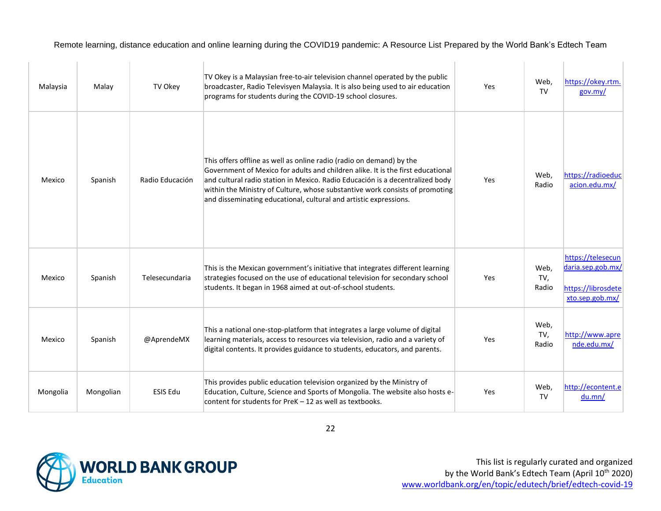| Malaysia | Malay     | TV Okey         | TV Okey is a Malaysian free-to-air television channel operated by the public<br>broadcaster, Radio Televisyen Malaysia. It is also being used to air education<br>programs for students during the COVID-19 school closures.                                                                                                                                                                  | Yes        | Web,<br><b>TV</b>    | https://okey.rtm.<br>gov.my/                                                    |
|----------|-----------|-----------------|-----------------------------------------------------------------------------------------------------------------------------------------------------------------------------------------------------------------------------------------------------------------------------------------------------------------------------------------------------------------------------------------------|------------|----------------------|---------------------------------------------------------------------------------|
| Mexico   | Spanish   | Radio Educación | This offers offline as well as online radio (radio on demand) by the<br>Government of Mexico for adults and children alike. It is the first educational<br>and cultural radio station in Mexico. Radio Educación is a decentralized body<br>within the Ministry of Culture, whose substantive work consists of promoting<br>and disseminating educational, cultural and artistic expressions. | <b>Yes</b> | Web.<br>Radio        | https://radioeduc<br>acion.edu.mx/                                              |
| Mexico   | Spanish   | Telesecundaria  | This is the Mexican government's initiative that integrates different learning<br>strategies focused on the use of educational television for secondary school<br>students. It began in 1968 aimed at out-of-school students.                                                                                                                                                                 | Yes.       | Web,<br>TV,<br>Radio | https://telesecun<br>daria.sep.gob.mx/<br>https://librosdete<br>xto.sep.gob.mx/ |
| Mexico   | Spanish   | @AprendeMX      | This a national one-stop-platform that integrates a large volume of digital<br>learning materials, access to resources via television, radio and a variety of<br>digital contents. It provides guidance to students, educators, and parents.                                                                                                                                                  | Yes        | Web,<br>TV,<br>Radio | http://www.apre<br>nde.edu.mx/                                                  |
| Mongolia | Mongolian | <b>ESIS Edu</b> | This provides public education television organized by the Ministry of<br>Education, Culture, Science and Sports of Mongolia. The website also hosts e-<br>content for students for PreK $-12$ as well as textbooks.                                                                                                                                                                          | Yes        | Web,<br><b>TV</b>    | http://econtent.e<br>du.mn/                                                     |

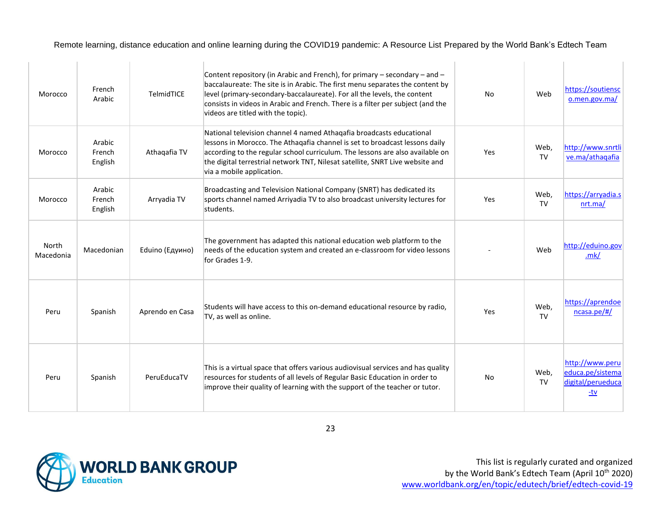| Morocco            | French<br>Arabic            | TelmidTICF      | Content repository (in Arabic and French), for primary - secondary - and -<br>baccalaureate: The site is in Arabic. The first menu separates the content by<br>level (primary-secondary-baccalaureate). For all the levels, the content<br>consists in videos in Arabic and French. There is a filter per subject (and the<br>videos are titled with the topic). | <b>No</b> | Web               | https://soutiensc<br>o.men.gov.ma/                              |
|--------------------|-----------------------------|-----------------|------------------------------------------------------------------------------------------------------------------------------------------------------------------------------------------------------------------------------------------------------------------------------------------------------------------------------------------------------------------|-----------|-------------------|-----------------------------------------------------------------|
| Morocco            | Arabic<br>French<br>English | Athaqafia TV    | National television channel 4 named Athaqafia broadcasts educational<br>lessons in Morocco. The Athagafia channel is set to broadcast lessons daily<br>according to the regular school curriculum. The lessons are also available on<br>the digital terrestrial network TNT, Nilesat satellite, SNRT Live website and<br>via a mobile application.               | Yes       | Web,<br><b>TV</b> | http://www.snrtli<br>ve.ma/athaqafia                            |
| Morocco            | Arabic<br>French<br>English | Arryadia TV     | Broadcasting and Television National Company (SNRT) has dedicated its<br>sports channel named Arriyadia TV to also broadcast university lectures for<br>students.                                                                                                                                                                                                | Yes       | Web,<br>TV        | https://arryadia.s<br>$nrt$ .ma/                                |
| North<br>Macedonia | Macedonian                  | Eduino (Едуино) | The government has adapted this national education web platform to the<br>needs of the education system and created an e-classroom for video lessons<br>for Grades 1-9.                                                                                                                                                                                          |           | Web               | http://eduino.gov<br>.mk/                                       |
| Peru               | Spanish                     | Aprendo en Casa | Students will have access to this on-demand educational resource by radio,<br>TV, as well as online.                                                                                                                                                                                                                                                             | Yes       | Web,<br>TV        | https://aprendoe<br>ncasa.pe/#/                                 |
| Peru               | Spanish                     | PeruEducaTV     | This is a virtual space that offers various audiovisual services and has quality<br>resources for students of all levels of Regular Basic Education in order to<br>improve their quality of learning with the support of the teacher or tutor.                                                                                                                   | No        | Web,<br><b>TV</b> | http://www.peru<br>educa.pe/sistema<br>digital/perueduca<br>-tv |



This list is regularly curated and organized by the World Bank's Edtech Team (April 10<sup>th</sup> 2020) [www.worldbank.org/en/topic/edutech/brief/edtech-covid-19](http://www.worldbank.org/en/topic/edutech/brief/edtech-covid-19)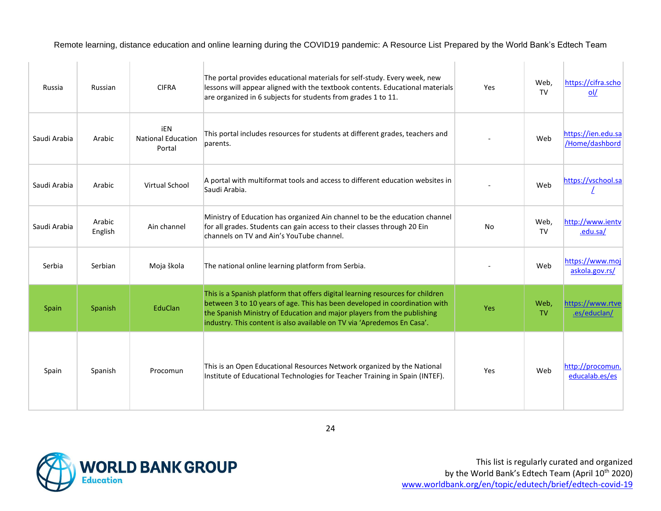| Russia       | Russian           | <b>CIFRA</b>                               | The portal provides educational materials for self-study. Every week, new<br>lessons will appear aligned with the textbook contents. Educational materials<br>are organized in 6 subjects for students from grades 1 to 11.                                                                                        | Yes        | Web,<br><b>TV</b> | https://cifra.scho<br>ol/            |
|--------------|-------------------|--------------------------------------------|--------------------------------------------------------------------------------------------------------------------------------------------------------------------------------------------------------------------------------------------------------------------------------------------------------------------|------------|-------------------|--------------------------------------|
| Saudi Arabia | Arabic            | iEN<br><b>National Education</b><br>Portal | This portal includes resources for students at different grades, teachers and<br>parents.                                                                                                                                                                                                                          |            | Web               | https://ien.edu.sa<br>/Home/dashbord |
| Saudi Arabia | Arabic            | <b>Virtual School</b>                      | A portal with multiformat tools and access to different education websites in<br>Saudi Arabia.                                                                                                                                                                                                                     |            | Web               | https://vschool.sa                   |
| Saudi Arabia | Arabic<br>English | Ain channel                                | Ministry of Education has organized Ain channel to be the education channel<br>for all grades. Students can gain access to their classes through 20 Ein<br>channels on TV and Ain's YouTube channel.                                                                                                               | <b>No</b>  | Web,<br><b>TV</b> | http://www.ientv<br>.edu.sa/         |
| Serbia       | Serbian           | Moja škola                                 | The national online learning platform from Serbia.                                                                                                                                                                                                                                                                 |            | Web               | https://www.moj<br>askola.gov.rs/    |
| <b>Spain</b> | Spanish           | EduClan                                    | This is a Spanish platform that offers digital learning resources for children<br>between 3 to 10 years of age. This has been developed in coordination with<br>the Spanish Ministry of Education and major players from the publishing<br>industry. This content is also available on TV via 'Apredemos En Casa'. | <b>Yes</b> | Web,<br><b>TV</b> | https://www.rtve<br>.es/educlan/     |
| Spain        | Spanish           | Procomun                                   | This is an Open Educational Resources Network organized by the National<br>Institute of Educational Technologies for Teacher Training in Spain (INTEF).                                                                                                                                                            | Yes        | Web               | http://procomun.<br>educalab.es/es   |

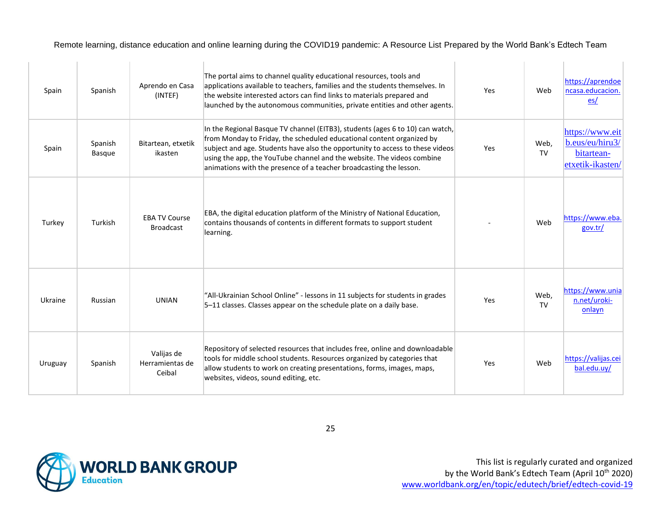| Spain   | Spanish           | Aprendo en Casa<br>(INTEF)               | The portal aims to channel quality educational resources, tools and<br>applications available to teachers, families and the students themselves. In<br>the website interested actors can find links to materials prepared and<br>launched by the autonomous communities, private entities and other agents.                                                                             | Yes | Web               | https://aprendoe<br>ncasa.educacion.<br>es/                          |
|---------|-------------------|------------------------------------------|-----------------------------------------------------------------------------------------------------------------------------------------------------------------------------------------------------------------------------------------------------------------------------------------------------------------------------------------------------------------------------------------|-----|-------------------|----------------------------------------------------------------------|
| Spain   | Spanish<br>Basque | Bitartean, etxetik<br>ikasten            | In the Regional Basque TV channel (EITB3), students (ages 6 to 10) can watch,<br>from Monday to Friday, the scheduled educational content organized by<br>subject and age. Students have also the opportunity to access to these videos<br>using the app, the YouTube channel and the website. The videos combine<br>animations with the presence of a teacher broadcasting the lesson. | Yes | Web.<br>TV        | https://www.eit<br>b.eus/eu/hiru3/<br>bitartean-<br>etxetik-ikasten/ |
| Turkey  | Turkish           | <b>EBA TV Course</b><br><b>Broadcast</b> | EBA, the digital education platform of the Ministry of National Education,<br>contains thousands of contents in different formats to support student<br>learning.                                                                                                                                                                                                                       |     | Web               | https://www.eba.<br>gov.tr/                                          |
| Ukraine | Russian           | <b>UNIAN</b>                             | "All-Ukrainian School Online" - lessons in 11 subjects for students in grades<br>5-11 classes. Classes appear on the schedule plate on a daily base.                                                                                                                                                                                                                                    | Yes | Web,<br><b>TV</b> | https://www.unia<br>n.net/uroki-<br>onlayn                           |
| Uruguay | Spanish           | Valijas de<br>Herramientas de<br>Ceibal  | Repository of selected resources that includes free, online and downloadable<br>tools for middle school students. Resources organized by categories that<br>allow students to work on creating presentations, forms, images, maps,<br>websites, videos, sound editing, etc.                                                                                                             | Yes | Web               | https://valijas.cei<br>bal.edu.uy/                                   |

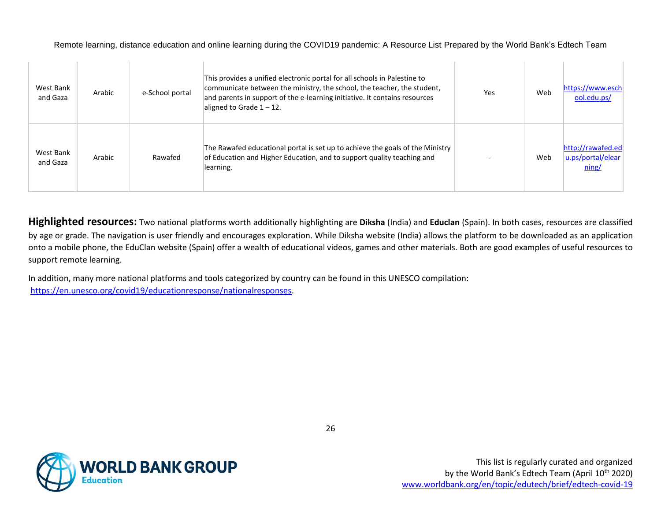| West Bank<br>and Gaza | Arabic | e-School portal | This provides a unified electronic portal for all schools in Palestine to<br>communicate between the ministry, the school, the teacher, the student,<br>and parents in support of the e-learning initiative. It contains resources<br>aligned to Grade $1 - 12$ . | Yes | Web | https://www.esch<br>ool.edu.ps/                 |
|-----------------------|--------|-----------------|-------------------------------------------------------------------------------------------------------------------------------------------------------------------------------------------------------------------------------------------------------------------|-----|-----|-------------------------------------------------|
| West Bank<br>and Gaza | Arabic | Rawafed         | The Rawafed educational portal is set up to achieve the goals of the Ministry<br>of Education and Higher Education, and to support quality teaching and<br>learning.                                                                                              |     | Web | http://rawafed.ed<br>u.ps/portal/elear<br>ning/ |

**Highlighted resources:** Two national platforms worth additionally highlighting are **Diksha** (India) and **Educlan** (Spain). In both cases, resources are classified by age or grade. The navigation is user friendly and encourages exploration. While Diksha website (India) allows the platform to be downloaded as an application onto a mobile phone, the EduClan website (Spain) offer a wealth of educational videos, games and other materials. Both are good examples of useful resources to support remote learning.

In addition, many more national platforms and tools categorized by country can be found in this UNESCO compilation: [https://en.unesco.org/covid19/educationresponse/nationalresponses.](https://en.unesco.org/covid19/educationresponse/nationalresponses)

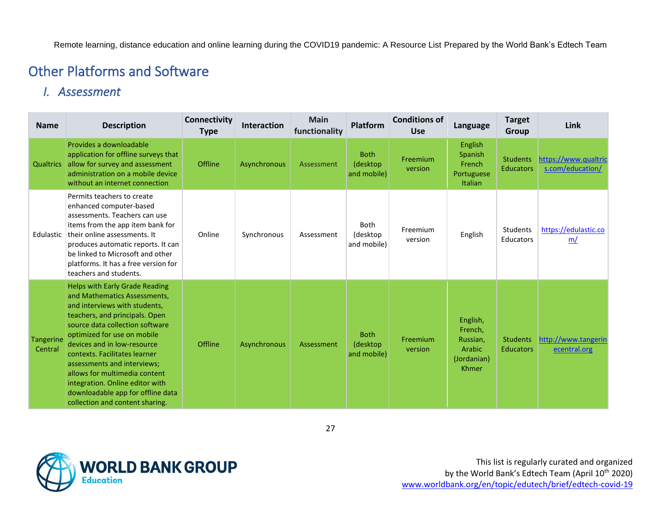## <span id="page-26-0"></span>Other Platforms and Software

### <span id="page-26-1"></span>*I. Assessment*

| <b>Name</b>                 | <b>Description</b>                                                                                                                                                                                                                                                                                                                                                                                                                                    | <b>Connectivity</b><br><b>Type</b> | <b>Interaction</b> | <b>Main</b><br>functionality | <b>Platform</b>                        | <b>Conditions of</b><br><b>Use</b> | Language                                                          | <b>Target</b><br>Group              | Link                                     |
|-----------------------------|-------------------------------------------------------------------------------------------------------------------------------------------------------------------------------------------------------------------------------------------------------------------------------------------------------------------------------------------------------------------------------------------------------------------------------------------------------|------------------------------------|--------------------|------------------------------|----------------------------------------|------------------------------------|-------------------------------------------------------------------|-------------------------------------|------------------------------------------|
| <b>Qualtrics</b>            | Provides a downloadable<br>application for offline surveys that<br>allow for survey and assessment<br>administration on a mobile device<br>without an internet connection                                                                                                                                                                                                                                                                             | Offline                            | Asynchronous       | Assessment                   | <b>Both</b><br>(desktop<br>and mobile) | Freemium<br>version                | English<br>Spanish<br>French<br>Portuguese<br>Italian             | <b>Students</b><br><b>Educators</b> | https://www.qualtric<br>s.com/education/ |
| Edulastic                   | Permits teachers to create<br>enhanced computer-based<br>assessments. Teachers can use<br>items from the app item bank for<br>their online assessments. It<br>produces automatic reports. It can<br>be linked to Microsoft and other<br>platforms. It has a free version for<br>teachers and students.                                                                                                                                                | Online                             | Synchronous        | Assessment                   | <b>Both</b><br>(desktop<br>and mobile) | Freemium<br>version                | English                                                           | Students<br>Educators               | https://edulastic.co<br><u>m/</u>        |
| <b>Tangerine</b><br>Central | <b>Helps with Early Grade Reading</b><br>and Mathematics Assessments,<br>and interviews with students,<br>teachers, and principals. Open<br>source data collection software<br>optimized for use on mobile<br>devices and in low-resource<br>contexts. Facilitates learner<br>assessments and interviews;<br>allows for multimedia content<br>integration. Online editor with<br>downloadable app for offline data<br>collection and content sharing. | Offline                            | Asynchronous       | Assessment                   | <b>Both</b><br>(desktop<br>and mobile) | Freemium<br>version                | English,<br>French,<br>Russian,<br>Arabic<br>(Jordanian)<br>Khmer | <b>Students</b><br><b>Educators</b> | http://www.tangerin<br>ecentral.org      |



This list is regularly curated and organized by the World Bank's Edtech Team (April 10<sup>th</sup> 2020) [www.worldbank.org/en/topic/edutech/brief/edtech-covid-19](http://www.worldbank.org/en/topic/edutech/brief/edtech-covid-19)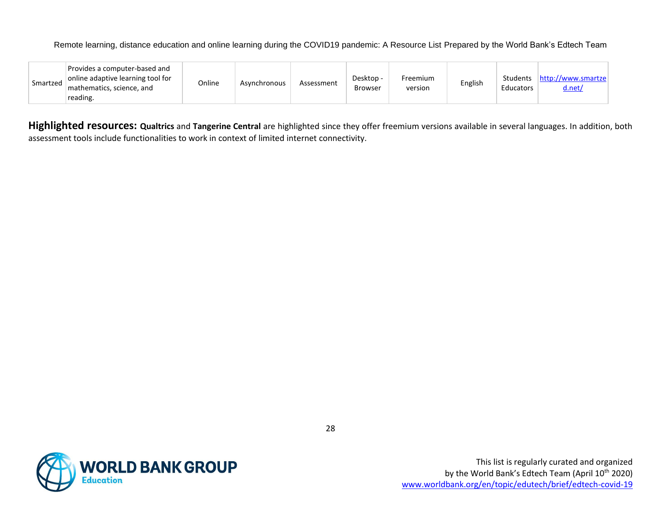**Highlighted resources: Qualtrics** and **Tangerine Central** are highlighted since they offer freemium versions available in several languages. In addition, both assessment tools include functionalities to work in context of limited internet connectivity.

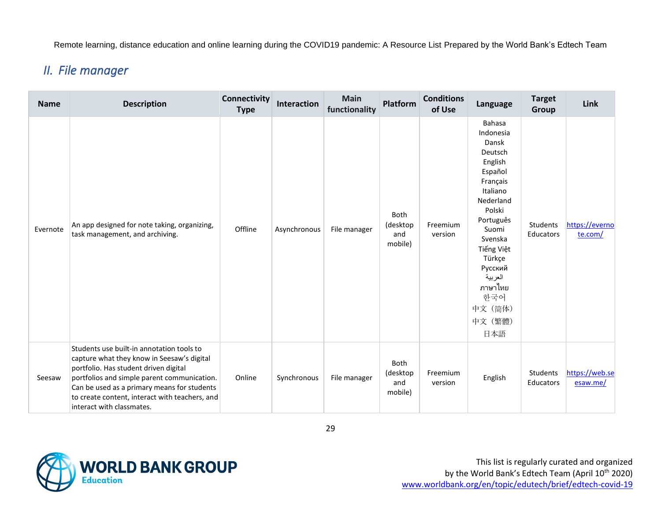### <span id="page-28-0"></span>*II. File manager*

| <b>Name</b> | <b>Description</b>                                                                                                                                                                                                                                                                                            | Connectivity<br><b>Type</b> | <b>Interaction</b> | <b>Main</b><br>functionality | Platform                           | <b>Conditions</b><br>of Use | Language                                                                                                                                                                                                                                   | <b>Target</b><br>Group | <b>Link</b>                |
|-------------|---------------------------------------------------------------------------------------------------------------------------------------------------------------------------------------------------------------------------------------------------------------------------------------------------------------|-----------------------------|--------------------|------------------------------|------------------------------------|-----------------------------|--------------------------------------------------------------------------------------------------------------------------------------------------------------------------------------------------------------------------------------------|------------------------|----------------------------|
| Evernote    | An app designed for note taking, organizing,<br>task management, and archiving.                                                                                                                                                                                                                               | Offline                     | Asynchronous       | File manager                 | Both<br>(desktop<br>and<br>mobile) | Freemium<br>version         | Bahasa<br>Indonesia<br>Dansk<br>Deutsch<br>English<br>Español<br>Français<br>Italiano<br>Nederland<br>Polski<br>Português<br>Suomi<br>Svenska<br>Tiếng Việt<br>Türkçe<br>Русский<br>العربية<br>ภาษาไทย<br>한국어<br>中文 (简体)<br>中文 (繁體)<br>日本語 | Students<br>Educators  | https://everno<br>te.com/  |
| Seesaw      | Students use built-in annotation tools to<br>capture what they know in Seesaw's digital<br>portfolio. Has student driven digital<br>portfolios and simple parent communication.<br>Can be used as a primary means for students<br>to create content, interact with teachers, and<br>interact with classmates. | Online                      | Synchronous        | File manager                 | Both<br>(desktop<br>and<br>mobile) | Freemium<br>version         | English                                                                                                                                                                                                                                    | Students<br>Educators  | https://web.se<br>esaw.me/ |

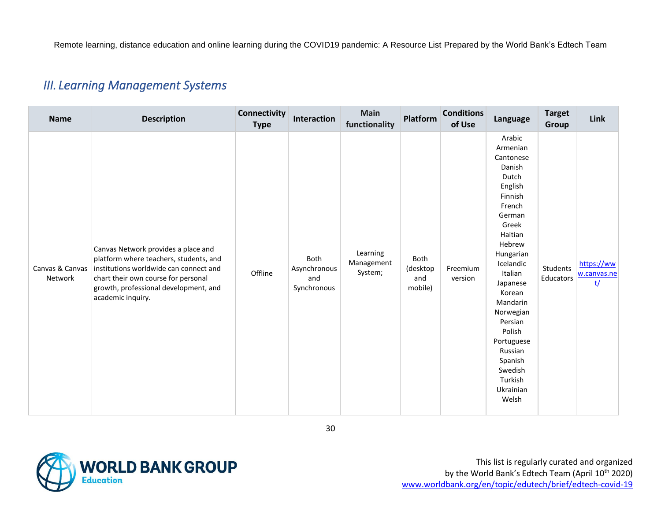### <span id="page-29-0"></span>*III. Learning Management Systems*

| <b>Name</b>                | <b>Description</b>                                                                                                                                                                                                           | Connectivity<br><b>Type</b> | Interaction                                       | <b>Main</b><br>functionality      | Platform                           | <b>Conditions</b><br>of Use | Language                                                                                                                                                                                                                                                                                                            | <b>Target</b><br>Group       | Link                                   |
|----------------------------|------------------------------------------------------------------------------------------------------------------------------------------------------------------------------------------------------------------------------|-----------------------------|---------------------------------------------------|-----------------------------------|------------------------------------|-----------------------------|---------------------------------------------------------------------------------------------------------------------------------------------------------------------------------------------------------------------------------------------------------------------------------------------------------------------|------------------------------|----------------------------------------|
| Canvas & Canvas<br>Network | Canvas Network provides a place and<br>platform where teachers, students, and<br>institutions worldwide can connect and<br>chart their own course for personal<br>growth, professional development, and<br>academic inquiry. | Offline                     | <b>Both</b><br>Asynchronous<br>and<br>Synchronous | Learning<br>Management<br>System; | Both<br>(desktop<br>and<br>mobile) | Freemium<br>version         | Arabic<br>Armenian<br>Cantonese<br>Danish<br>Dutch<br>English<br>Finnish<br>French<br>German<br>Greek<br>Haitian<br>Hebrew<br>Hungarian<br>Icelandic<br>Italian<br>Japanese<br>Korean<br>Mandarin<br>Norwegian<br>Persian<br>Polish<br>Portuguese<br>Russian<br>Spanish<br>Swedish<br>Turkish<br>Ukrainian<br>Welsh | <b>Students</b><br>Educators | https://ww<br>w.canvas.ne<br><u>t/</u> |

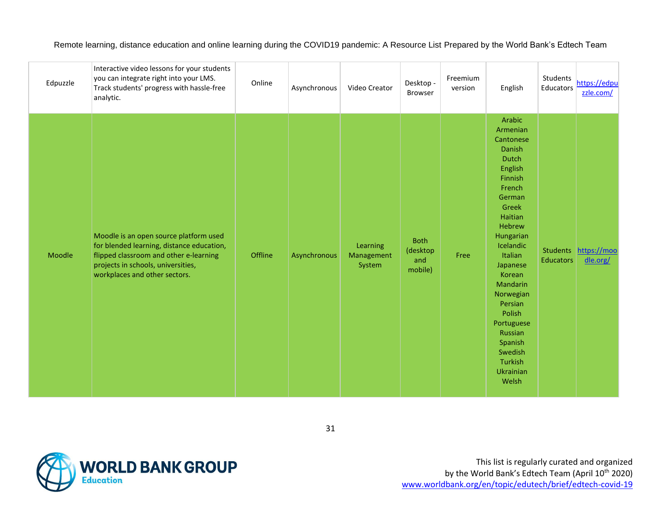| Edpuzzle | Interactive video lessons for your students<br>you can integrate right into your LMS.<br>Track students' progress with hassle-free<br>analytic.                                                      | Online  | Asynchronous | Video Creator                    | Desktop -<br>Browser                      | Freemium<br>version | English                                                                                                                                                                                                                                                                                                             | Students<br>Educators        | https://edpu<br>zzle.com/ |
|----------|------------------------------------------------------------------------------------------------------------------------------------------------------------------------------------------------------|---------|--------------|----------------------------------|-------------------------------------------|---------------------|---------------------------------------------------------------------------------------------------------------------------------------------------------------------------------------------------------------------------------------------------------------------------------------------------------------------|------------------------------|---------------------------|
| Moodle   | Moodle is an open source platform used<br>for blended learning, distance education,<br>flipped classroom and other e-learning<br>projects in schools, universities,<br>workplaces and other sectors. | Offline | Asynchronous | Learning<br>Management<br>System | <b>Both</b><br>(desktop<br>and<br>mobile) | Free                | Arabic<br>Armenian<br>Cantonese<br>Danish<br>Dutch<br>English<br>Finnish<br>French<br>German<br>Greek<br>Haitian<br>Hebrew<br>Hungarian<br>Icelandic<br>Italian<br>Japanese<br>Korean<br>Mandarin<br>Norwegian<br>Persian<br>Polish<br>Portuguese<br>Russian<br>Spanish<br>Swedish<br>Turkish<br>Ukrainian<br>Welsh | Students<br><b>Educators</b> | https://moo<br>dle.org/   |

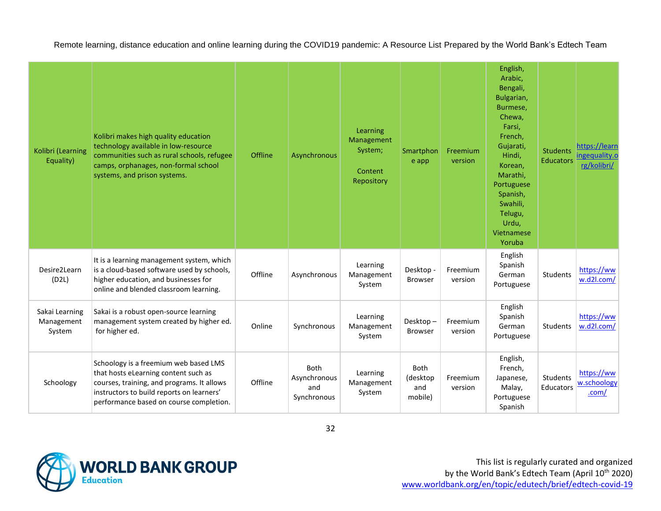| Kolibri (Learning<br>Equality)         | Kolibri makes high quality education<br>technology available in low-resource<br>communities such as rural schools, refugee<br>camps, orphanages, non-formal school<br>systems, and prison systems.                  | Offline | Asynchronous                                      | Learning<br>Management<br>System;<br>Content<br>Repository | Smartphon<br>e app                        | Freemium<br>version | English,<br>Arabic,<br>Bengali,<br>Bulgarian,<br>Burmese,<br>Chewa,<br>Farsi,<br>French,<br>Gujarati,<br>Hindi,<br>Korean,<br>Marathi,<br>Portuguese<br>Spanish,<br>Swahili,<br>Telugu,<br>Urdu,<br>Vietnamese<br>Yoruba | <b>Students</b><br><b>Educators</b> | https://learn<br>ingequality.o<br>rg/kolibri/ |
|----------------------------------------|---------------------------------------------------------------------------------------------------------------------------------------------------------------------------------------------------------------------|---------|---------------------------------------------------|------------------------------------------------------------|-------------------------------------------|---------------------|--------------------------------------------------------------------------------------------------------------------------------------------------------------------------------------------------------------------------|-------------------------------------|-----------------------------------------------|
| Desire2Learn<br>(D2L)                  | It is a learning management system, which<br>is a cloud-based software used by schools,<br>higher education, and businesses for<br>online and blended classroom learning.                                           | Offline | Asynchronous                                      | Learning<br>Management<br>System                           | Desktop -<br><b>Browser</b>               | Freemium<br>version | English<br>Spanish<br>German<br>Portuguese                                                                                                                                                                               | <b>Students</b>                     | https://ww<br>w.d2l.com/                      |
| Sakai Learning<br>Management<br>System | Sakai is a robust open-source learning<br>management system created by higher ed.<br>for higher ed.                                                                                                                 | Online  | Synchronous                                       | Learning<br>Management<br>System                           | Desktop-<br><b>Browser</b>                | Freemium<br>version | English<br>Spanish<br>German<br>Portuguese                                                                                                                                                                               | Students                            | https://ww<br>w.d2l.com/                      |
| Schoology                              | Schoology is a freemium web based LMS<br>that hosts eLearning content such as<br>courses, training, and programs. It allows<br>instructors to build reports on learners'<br>performance based on course completion. | Offline | <b>Both</b><br>Asynchronous<br>and<br>Synchronous | Learning<br>Management<br>System                           | <b>Both</b><br>(desktop<br>and<br>mobile) | Freemium<br>version | English,<br>French,<br>Japanese,<br>Malay,<br>Portuguese<br>Spanish                                                                                                                                                      | Students<br>Educators               | https://ww<br>w.schoology<br>.com/            |



This list is regularly curated and organized by the World Bank's Edtech Team (April 10<sup>th</sup> 2020) [www.worldbank.org/en/topic/edutech/brief/edtech-covid-19](http://www.worldbank.org/en/topic/edutech/brief/edtech-covid-19)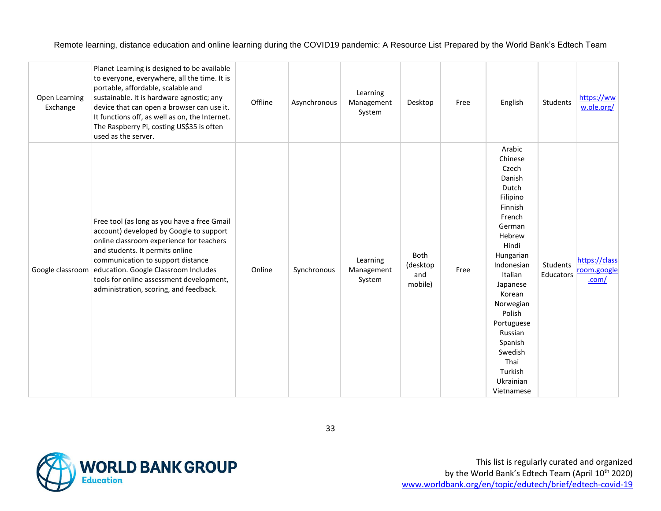| Open Learning<br>Exchange | Planet Learning is designed to be available<br>to everyone, everywhere, all the time. It is<br>portable, affordable, scalable and<br>sustainable. It is hardware agnostic; any<br>device that can open a browser can use it.<br>It functions off, as well as on, the Internet.<br>The Raspberry Pi, costing US\$35 is often<br>used as the server.        | Offline | Asynchronous | Learning<br>Management<br>System | Desktop                            | Free | English                                                                                                                                                                                                                                                                                     | Students              | https://ww<br>w.ole.org/              |
|---------------------------|-----------------------------------------------------------------------------------------------------------------------------------------------------------------------------------------------------------------------------------------------------------------------------------------------------------------------------------------------------------|---------|--------------|----------------------------------|------------------------------------|------|---------------------------------------------------------------------------------------------------------------------------------------------------------------------------------------------------------------------------------------------------------------------------------------------|-----------------------|---------------------------------------|
|                           | Free tool (as long as you have a free Gmail<br>account) developed by Google to support<br>online classroom experience for teachers<br>and students. It permits online<br>communication to support distance<br>Google classroom education. Google Classroom Includes<br>tools for online assessment development,<br>administration, scoring, and feedback. | Online  | Synchronous  | Learning<br>Management<br>System | Both<br>(desktop<br>and<br>mobile) | Free | Arabic<br>Chinese<br>Czech<br>Danish<br>Dutch<br>Filipino<br>Finnish<br>French<br>German<br>Hebrew<br>Hindi<br>Hungarian<br>Indonesian<br>Italian<br>Japanese<br>Korean<br>Norwegian<br>Polish<br>Portuguese<br>Russian<br>Spanish<br>Swedish<br>Thai<br>Turkish<br>Ukrainian<br>Vietnamese | Students<br>Educators | https://class<br>room.google<br>.com/ |

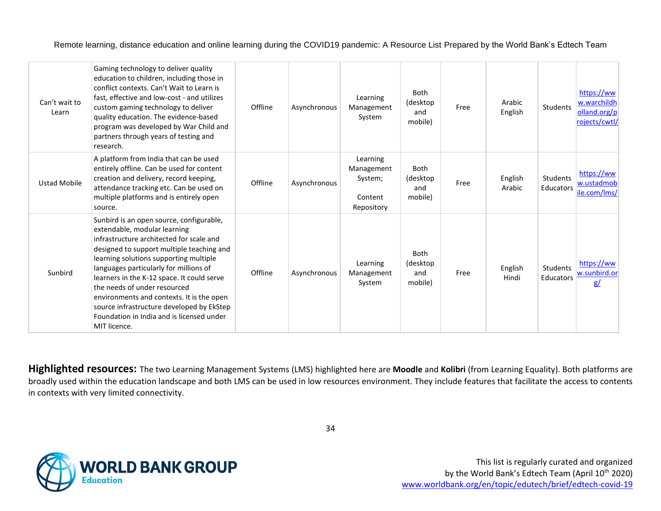| Can't wait to<br>Learn | Gaming technology to deliver quality<br>education to children, including those in<br>conflict contexts. Can't Wait to Learn is<br>fast, effective and low-cost - and utilizes<br>custom gaming technology to deliver<br>quality education. The evidence-based<br>program was developed by War Child and<br>partners through years of testing and<br>research.                                                                                                                              | Offline | Asynchronous | Learning<br>Management<br>System                           | <b>Both</b><br>(desktop<br>and<br>mobile) | Free | Arabic<br>English | <b>Students</b>       | https://ww<br>w.warchildh<br>olland.org/p<br>rojects/cwtl/ |
|------------------------|--------------------------------------------------------------------------------------------------------------------------------------------------------------------------------------------------------------------------------------------------------------------------------------------------------------------------------------------------------------------------------------------------------------------------------------------------------------------------------------------|---------|--------------|------------------------------------------------------------|-------------------------------------------|------|-------------------|-----------------------|------------------------------------------------------------|
| <b>Ustad Mobile</b>    | A platform from India that can be used<br>entirely offline. Can be used for content<br>creation and delivery, record keeping,<br>attendance tracking etc. Can be used on<br>multiple platforms and is entirely open<br>source.                                                                                                                                                                                                                                                             | Offline | Asynchronous | Learning<br>Management<br>System;<br>Content<br>Repository | <b>Both</b><br>(desktop<br>and<br>mobile) | Free | English<br>Arabic | Students<br>Educators | https://ww<br>w.ustadmob<br>lile.com/lms/                  |
| Sunbird                | Sunbird is an open source, configurable,<br>extendable, modular learning<br>infrastructure architected for scale and<br>designed to support multiple teaching and<br>learning solutions supporting multiple<br>languages particularly for millions of<br>learners in the K-12 space. It could serve<br>the needs of under resourced<br>environments and contexts. It is the open<br>source infrastructure developed by EkStep<br>Foundation in India and is licensed under<br>MIT licence. | Offline | Asynchronous | Learning<br>Management<br>System                           | <b>Both</b><br>(desktop<br>and<br>mobile) | Free | English<br>Hindi  | Students<br>Educators | https://ww<br>w.sunbird.or<br><u>g/</u>                    |

**Highlighted resources:** The two Learning Management Systems (LMS) highlighted here are **Moodle** and **Kolibri** (from Learning Equality). Both platforms are broadly used within the education landscape and both LMS can be used in low resources environment. They include features that facilitate the access to contents in contexts with very limited connectivity.



This list is regularly curated and organized by the World Bank's Edtech Team (April 10<sup>th</sup> 2020) [www.worldbank.org/en/topic/edutech/brief/edtech-covid-19](http://www.worldbank.org/en/topic/edutech/brief/edtech-covid-19)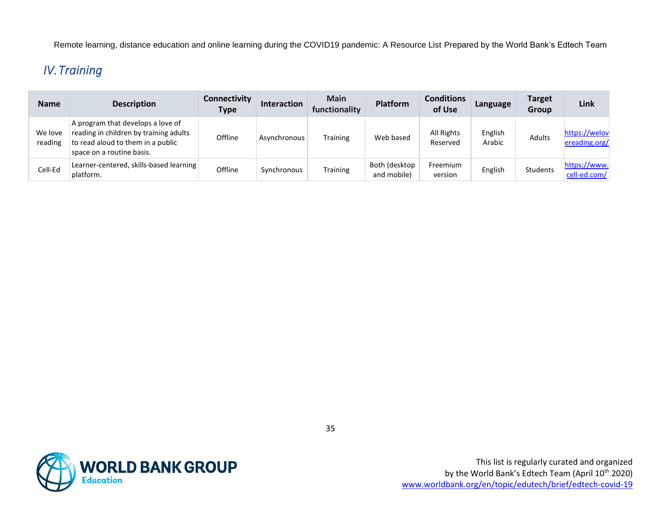## <span id="page-34-0"></span>*IV.Training*

| <b>Name</b>        | <b>Description</b>                                                                                                                            | <b>Connectivity</b><br><b>Type</b> | <b>Interaction</b> | <b>Main</b><br>functionality | <b>Platform</b>              | <b>Conditions</b><br>of Use | Language          | <b>Target</b><br>Group | Link                           |
|--------------------|-----------------------------------------------------------------------------------------------------------------------------------------------|------------------------------------|--------------------|------------------------------|------------------------------|-----------------------------|-------------------|------------------------|--------------------------------|
| We love<br>reading | A program that develops a love of<br>reading in children by training adults<br>to read aloud to them in a public<br>space on a routine basis. | Offline                            | Asynchronous       | Training                     | Web based                    | All Rights<br>Reserved      | English<br>Arabic | Adults                 | https://welov<br>ereading.org/ |
| Cell-Ed            | Learner-centered, skills-based learning<br>platform.                                                                                          | Offline                            | Synchronous        | Training                     | Both (desktop<br>and mobile) | Freemium<br>version         | English           | Students               | https://www.<br>cell-ed.com/   |

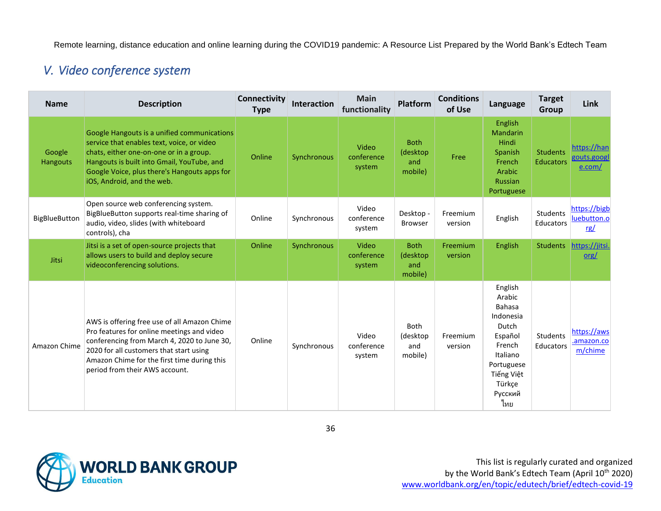## <span id="page-35-0"></span>*V. Video conference system*

| <b>Name</b>        | <b>Description</b>                                                                                                                                                                                                                                                    | <b>Connectivity</b><br><b>Type</b> | <b>Interaction</b> | <b>Main</b><br>functionality  | <b>Platform</b>                           | <b>Conditions</b><br>of Use | Language                                                                                                                                          | <b>Target</b><br>Group              | Link                                      |
|--------------------|-----------------------------------------------------------------------------------------------------------------------------------------------------------------------------------------------------------------------------------------------------------------------|------------------------------------|--------------------|-------------------------------|-------------------------------------------|-----------------------------|---------------------------------------------------------------------------------------------------------------------------------------------------|-------------------------------------|-------------------------------------------|
| Google<br>Hangouts | Google Hangouts is a unified communications<br>service that enables text, voice, or video<br>chats, either one-on-one or in a group.<br>Hangouts is built into Gmail, YouTube, and<br>Google Voice, plus there's Hangouts apps for<br>iOS, Android, and the web.      | Online                             | Synchronous        | Video<br>conference<br>system | <b>Both</b><br>(desktop<br>and<br>mobile) | Free                        | <b>English</b><br><b>Mandarin</b><br>Hindi<br>Spanish<br>French<br>Arabic<br><b>Russian</b><br>Portuguese                                         | <b>Students</b><br><b>Educators</b> | https://han<br>gouts.googl<br>e.com/      |
| BigBlueButton      | Open source web conferencing system.<br>BigBlueButton supports real-time sharing of<br>audio, video, slides (with whiteboard<br>controls), cha                                                                                                                        | Online                             | Synchronous        | Video<br>conference<br>system | Desktop -<br><b>Browser</b>               | Freemium<br>version         | English                                                                                                                                           | Students<br>Educators               | https://bigb<br>luebutton.o<br><u>rg/</u> |
| <b>Jitsi</b>       | Jitsi is a set of open-source projects that<br>allows users to build and deploy secure<br>videoconferencing solutions.                                                                                                                                                | Online                             | Synchronous        | Video<br>conference<br>system | <b>Both</b><br>(desktop<br>and<br>mobile) | Freemium<br>version         | English                                                                                                                                           | <b>Students</b>                     | https://jitsi.<br>org/                    |
| Amazon Chime       | AWS is offering free use of all Amazon Chime<br>Pro features for online meetings and video<br>conferencing from March 4, 2020 to June 30,<br>2020 for all customers that start using<br>Amazon Chime for the first time during this<br>period from their AWS account. | Online                             | Synchronous        | Video<br>conference<br>system | <b>Both</b><br>(desktop<br>and<br>mobile) | Freemium<br>version         | English<br>Arabic<br><b>Bahasa</b><br>Indonesia<br>Dutch<br>Español<br>French<br>Italiano<br>Portuguese<br>Tiếng Việt<br>Türkçe<br>Русский<br>ไทย | Students<br>Educators               | https://aws<br>.amazon.co<br>m/chime      |

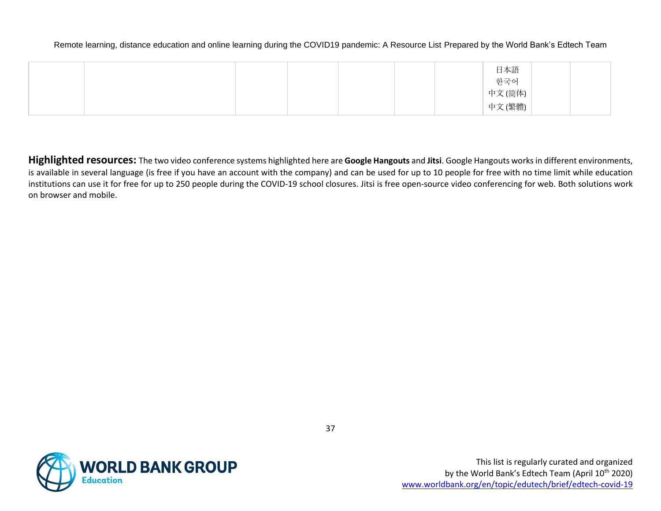|  |  |  | 日本語     |  |
|--|--|--|---------|--|
|  |  |  | 한국어     |  |
|  |  |  | 中文(简体)  |  |
|  |  |  | 中文 (繁體) |  |

**Highlighted resources:** The two video conference systems highlighted here are **Google Hangouts** and **Jitsi**. Google Hangouts works in different environments, is available in several language (is free if you have an account with the company) and can be used for up to 10 people for free with no time limit while education institutions can use it for free for up to 250 people during the COVID-19 school closures. Jitsi is free open-source video conferencing for web. Both solutions work on browser and mobile.

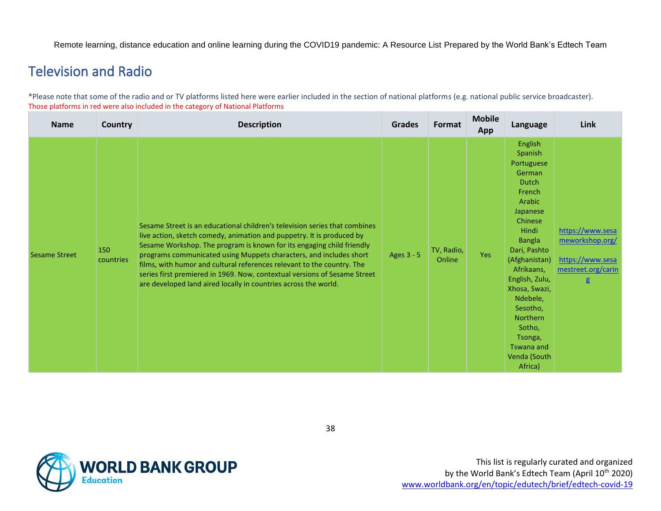## <span id="page-37-0"></span>Television and Radio

\*Please note that some of the radio and or TV platforms listed here were earlier included in the section of national platforms (e.g. national public service broadcaster). Those platforms in red were also included in the category of National Platforms

| <b>Name</b>          | Country          | <b>Description</b>                                                                                                                                                                                                                                                                                                                                                                                                                                                                                                           | <b>Grades</b> | Format               | <b>Mobile</b><br>App | Language                                                                                                                                                                                                                                                                                                                                 | Link                                                                               |
|----------------------|------------------|------------------------------------------------------------------------------------------------------------------------------------------------------------------------------------------------------------------------------------------------------------------------------------------------------------------------------------------------------------------------------------------------------------------------------------------------------------------------------------------------------------------------------|---------------|----------------------|----------------------|------------------------------------------------------------------------------------------------------------------------------------------------------------------------------------------------------------------------------------------------------------------------------------------------------------------------------------------|------------------------------------------------------------------------------------|
| <b>Sesame Street</b> | 150<br>countries | Sesame Street is an educational children's television series that combines<br>live action, sketch comedy, animation and puppetry. It is produced by<br>Sesame Workshop. The program is known for its engaging child friendly<br>programs communicated using Muppets characters, and includes short<br>films, with humor and cultural references relevant to the country. The<br>series first premiered in 1969. Now, contextual versions of Sesame Street<br>are developed land aired locally in countries across the world. | Ages 3 - 5    | TV, Radio,<br>Online | <b>Yes</b>           | <b>English</b><br>Spanish<br>Portuguese<br>German<br><b>Dutch</b><br>French<br>Arabic<br>Japanese<br>Chinese<br>Hindi<br><b>Bangla</b><br>Dari, Pashto<br>(Afghanistan)<br>Afrikaans,<br>English, Zulu,<br>Xhosa, Swazi,<br>Ndebele,<br>Sesotho,<br><b>Northern</b><br>Sotho,<br>Tsonga,<br><b>Tswana and</b><br>Venda (South<br>Africa) | https://www.sesa<br>meworkshop.org/<br>https://www.sesa<br>mestreet.org/carin<br>g |

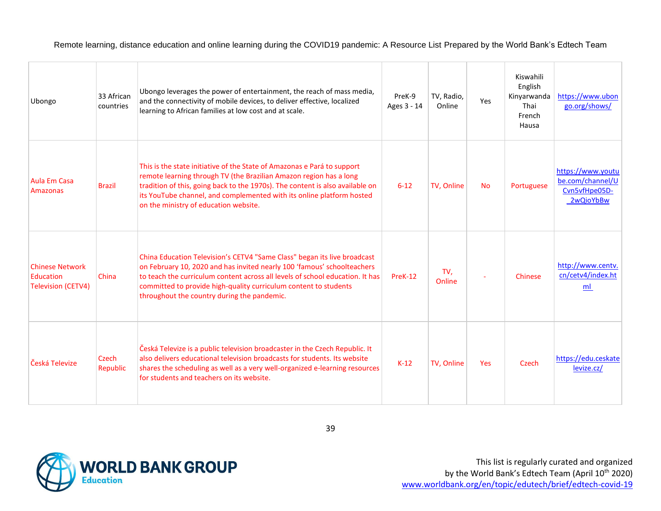| Ubongo                                                           | 33 African<br>countries | Ubongo leverages the power of entertainment, the reach of mass media,<br>and the connectivity of mobile devices, to deliver effective, localized<br>learning to African families at low cost and at scale.                                                                                                                                              | PreK-9<br>Ages 3 - 14 | TV, Radio,<br>Online | Yes        | Kiswahili<br>English<br>Kinyarwanda<br>Thai<br>French<br>Hausa | https://www.ubon<br>go.org/shows/                                   |
|------------------------------------------------------------------|-------------------------|---------------------------------------------------------------------------------------------------------------------------------------------------------------------------------------------------------------------------------------------------------------------------------------------------------------------------------------------------------|-----------------------|----------------------|------------|----------------------------------------------------------------|---------------------------------------------------------------------|
| Aula Em Casa<br>Amazonas                                         | <b>Brazil</b>           | This is the state initiative of the State of Amazonas e Pará to support<br>remote learning through TV (the Brazilian Amazon region has a long<br>tradition of this, going back to the 1970s). The content is also available on<br>its YouTube channel, and complemented with its online platform hosted<br>on the ministry of education website.        | $6 - 12$              | TV, Online           | <b>No</b>  | Portuguese                                                     | https://www.youtu<br>be.com/channel/U<br>Cvn5vfHpe05D-<br>2wQioYbBw |
| <b>Chinese Network</b><br>Education<br><b>Television (CETV4)</b> | China                   | China Education Television's CETV4 "Same Class" began its live broadcast<br>on February 10, 2020 and has invited nearly 100 'famous' schoolteachers<br>to teach the curriculum content across all levels of school education. It has<br>committed to provide high-quality curriculum content to students<br>throughout the country during the pandemic. | PreK-12               | TV,<br>Online        |            | Chinese                                                        | http://www.centv.<br>cn/cetv4/index.ht<br>ml                        |
| Česká Televize                                                   | Czech<br>Republic       | Česká Televize is a public television broadcaster in the Czech Republic. It<br>also delivers educational television broadcasts for students. Its website<br>shares the scheduling as well as a very well-organized e-learning resources<br>for students and teachers on its website.                                                                    | $K-12$                | TV, Online           | <b>Yes</b> | Czech                                                          | https://edu.ceskate<br>levize.cz/                                   |

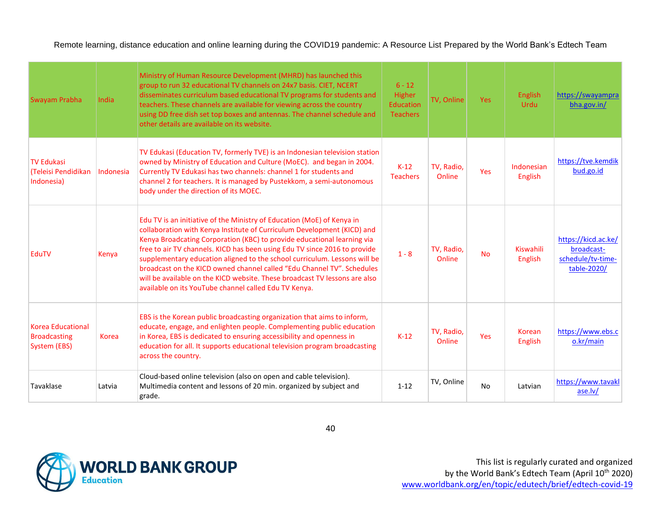| Swayam Prabha                                                   | India            | Ministry of Human Resource Development (MHRD) has launched this<br>group to run 32 educational TV channels on 24x7 basis. CIET, NCERT<br>disseminates curriculum based educational TV programs for students and<br>teachers. These channels are available for viewing across the country<br>using DD free dish set top boxes and antennas. The channel schedule and<br>other details are available on its website.                                                                                                                                                                                      | $6 - 12$<br>Higher<br><b>Education</b><br><b>Teachers</b> | TV. Online           | <b>Yes</b> | English<br><b>Urdu</b> | https://swayampra<br>bha.gov.in/                                      |
|-----------------------------------------------------------------|------------------|---------------------------------------------------------------------------------------------------------------------------------------------------------------------------------------------------------------------------------------------------------------------------------------------------------------------------------------------------------------------------------------------------------------------------------------------------------------------------------------------------------------------------------------------------------------------------------------------------------|-----------------------------------------------------------|----------------------|------------|------------------------|-----------------------------------------------------------------------|
| <b>TV Edukasi</b><br>(Teleisi Pendidikan<br>Indonesia)          | <b>Indonesia</b> | TV Edukasi (Education TV, formerly TVE) is an Indonesian television station<br>owned by Ministry of Education and Culture (MoEC). and began in 2004.<br>Currently TV Edukasi has two channels: channel 1 for students and<br>channel 2 for teachers. It is managed by Pustekkom, a semi-autonomous<br>body under the direction of its MOEC.                                                                                                                                                                                                                                                             | $K-12$<br><b>Teachers</b>                                 | TV, Radio,<br>Online | <b>Yes</b> | Indonesian<br>English  | https://tve.kemdik<br>bud.go.id                                       |
| EduTV                                                           | Kenya            | Edu TV is an initiative of the Ministry of Education (MoE) of Kenya in<br>collaboration with Kenya Institute of Curriculum Development (KICD) and<br>Kenya Broadcating Corporation (KBC) to provide educational learning via<br>free to air TV channels. KICD has been using Edu TV since 2016 to provide<br>supplementary education aligned to the school curriculum. Lessons will be<br>broadcast on the KICD owned channel called "Edu Channel TV". Schedules<br>will be available on the KICD website. These broadcast TV lessons are also<br>available on its YouTube channel called Edu TV Kenya. | $1 - 8$                                                   | TV, Radio,<br>Online | <b>No</b>  | Kiswahili<br>English   | https://kicd.ac.ke/<br>broadcast-<br>schedule/tv-time-<br>table-2020/ |
| <b>Korea Educational</b><br><b>Broadcasting</b><br>System (EBS) | <b>Korea</b>     | EBS is the Korean public broadcasting organization that aims to inform,<br>educate, engage, and enlighten people. Complementing public education<br>in Korea, EBS is dedicated to ensuring accessibility and openness in<br>education for all. It supports educational television program broadcasting<br>across the country.                                                                                                                                                                                                                                                                           | $K-12$                                                    | TV, Radio,<br>Online | <b>Yes</b> | Korean<br>English      | https://www.ebs.c<br>o.kr/main                                        |
| Tavaklase                                                       | Latvia           | Cloud-based online television (also on open and cable television).<br>Multimedia content and lessons of 20 min. organized by subject and<br>grade.                                                                                                                                                                                                                                                                                                                                                                                                                                                      | $1 - 12$                                                  | TV, Online           | <b>No</b>  | Latvian                | https://www.tavakl<br>ase.lv/                                         |



This list is regularly curated and organized by the World Bank's Edtech Team (April 10<sup>th</sup> 2020) [www.worldbank.org/en/topic/edutech/brief/edtech-covid-19](http://www.worldbank.org/en/topic/edutech/brief/edtech-covid-19)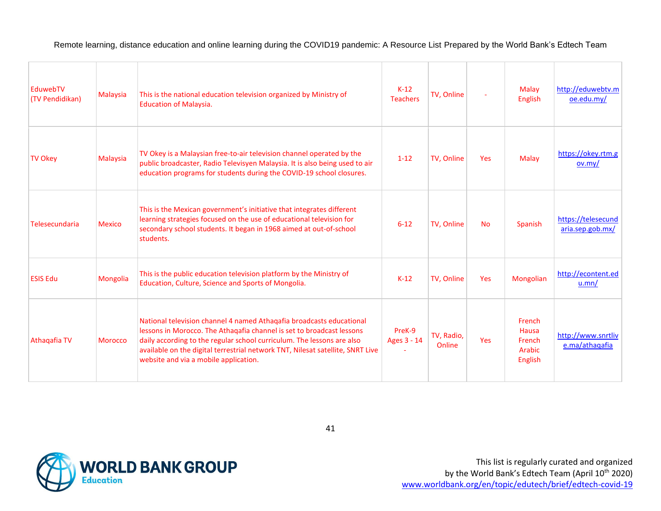| EduwebTV<br>(TV Pendidikan) | <b>Malaysia</b> | This is the national education television organized by Ministry of<br><b>Education of Malaysia.</b>                                                                                                                                                                                                                                                | $K-12$<br><b>Teachers</b> | TV, Online           |            | <b>Malay</b><br><b>English</b>                        | http://eduwebtv.m<br>oe.edu.my/        |
|-----------------------------|-----------------|----------------------------------------------------------------------------------------------------------------------------------------------------------------------------------------------------------------------------------------------------------------------------------------------------------------------------------------------------|---------------------------|----------------------|------------|-------------------------------------------------------|----------------------------------------|
| <b>TV Okey</b>              | <b>Malaysia</b> | TV Okey is a Malaysian free-to-air television channel operated by the<br>public broadcaster, Radio Televisyen Malaysia. It is also being used to air<br>education programs for students during the COVID-19 school closures.                                                                                                                       | $1 - 12$                  | TV, Online           | <b>Yes</b> | <b>Malay</b>                                          | https://okey.rtm.g<br>ov.my/           |
| Telesecundaria              | <b>Mexico</b>   | This is the Mexican government's initiative that integrates different<br>learning strategies focused on the use of educational television for<br>secondary school students. It began in 1968 aimed at out-of-school<br>students.                                                                                                                   | $6 - 12$                  | TV, Online           | <b>No</b>  | Spanish                                               | https://telesecund<br>aria.sep.gob.mx/ |
| <b>ESIS Edu</b>             | Mongolia        | This is the public education television platform by the Ministry of<br>Education, Culture, Science and Sports of Mongolia.                                                                                                                                                                                                                         | $K-12$                    | TV, Online           | <b>Yes</b> | Mongolian                                             | http://econtent.ed<br>u.mn/            |
| Athagafia TV                | <b>Morocco</b>  | National television channel 4 named Athaqafia broadcasts educational<br>lessons in Morocco. The Athaqafia channel is set to broadcast lessons<br>daily according to the regular school curriculum. The lessons are also<br>available on the digital terrestrial network TNT, Nilesat satellite, SNRT Live<br>website and via a mobile application. | PreK-9<br>Ages 3 - 14     | TV, Radio,<br>Online | <b>Yes</b> | French<br>Hausa<br>French<br>Arabic<br><b>English</b> | http://www.snrtliv<br>e.ma/athaqafia   |



This list is regularly curated and organized by the World Bank's Edtech Team (April 10<sup>th</sup> 2020) [www.worldbank.org/en/topic/edutech/brief/edtech-covid-19](http://www.worldbank.org/en/topic/edutech/brief/edtech-covid-19)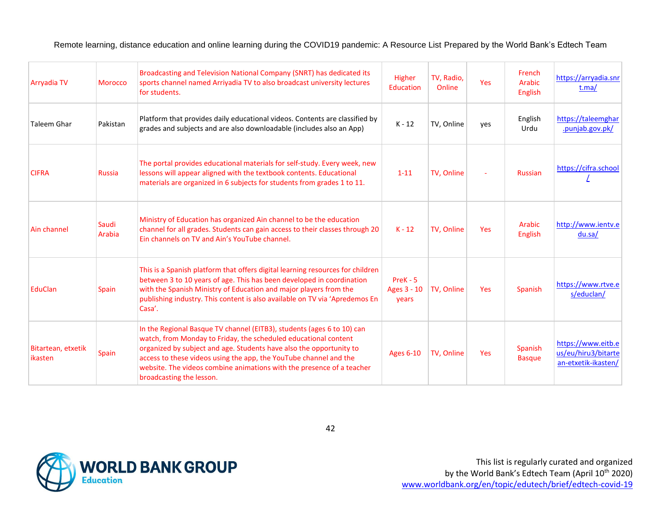| <b>Arryadia TV</b>            | <b>Morocco</b>  | Broadcasting and Television National Company (SNRT) has dedicated its<br>sports channel named Arriyadia TV to also broadcast university lectures<br>for students.                                                                                                                                                                                                                          | Higher<br><b>Education</b>         | TV, Radio,<br>Online | Yes        | French<br>Arabic<br><b>English</b> | https://arryadia.snr<br>$t$ .ma $/$                              |
|-------------------------------|-----------------|--------------------------------------------------------------------------------------------------------------------------------------------------------------------------------------------------------------------------------------------------------------------------------------------------------------------------------------------------------------------------------------------|------------------------------------|----------------------|------------|------------------------------------|------------------------------------------------------------------|
| Taleem Ghar                   | Pakistan        | Platform that provides daily educational videos. Contents are classified by<br>grades and subjects and are also downloadable (includes also an App)                                                                                                                                                                                                                                        | $K - 12$                           | TV, Online           | yes        | English<br>Urdu                    | https://taleemghar<br>.punjab.gov.pk/                            |
| <b>CIFRA</b>                  | <b>Russia</b>   | The portal provides educational materials for self-study. Every week, new<br>lessons will appear aligned with the textbook contents. Educational<br>materials are organized in 6 subjects for students from grades 1 to 11.                                                                                                                                                                | $1 - 11$                           | TV, Online           |            | <b>Russian</b>                     | https://cifra.school                                             |
| Ain channel                   | Saudi<br>Arabia | Ministry of Education has organized Ain channel to be the education<br>channel for all grades. Students can gain access to their classes through 20<br>Ein channels on TV and Ain's YouTube channel.                                                                                                                                                                                       | $K - 12$                           | TV, Online           | <b>Yes</b> | Arabic<br>English                  | http://www.ientv.e<br>$du$ .sa/                                  |
| EduClan                       | Spain           | This is a Spanish platform that offers digital learning resources for children<br>between 3 to 10 years of age. This has been developed in coordination<br>with the Spanish Ministry of Education and major players from the<br>publishing industry. This content is also available on TV via 'Apredemos En<br>Casa'.                                                                      | $PreK - 5$<br>Ages 3 - 10<br>years | TV, Online           | <b>Yes</b> | Spanish                            | https://www.rtve.e<br>s/educlan/                                 |
| Bitartean, etxetik<br>ikasten | Spain           | In the Regional Basque TV channel (EITB3), students (ages 6 to 10) can<br>watch, from Monday to Friday, the scheduled educational content<br>organized by subject and age. Students have also the opportunity to<br>access to these videos using the app, the YouTube channel and the<br>website. The videos combine animations with the presence of a teacher<br>broadcasting the lesson. | <b>Ages 6-10</b>                   | TV, Online           | <b>Yes</b> | Spanish<br><b>Basque</b>           | https://www.eitb.e<br>us/eu/hiru3/bitarte<br>an-etxetik-ikasten/ |

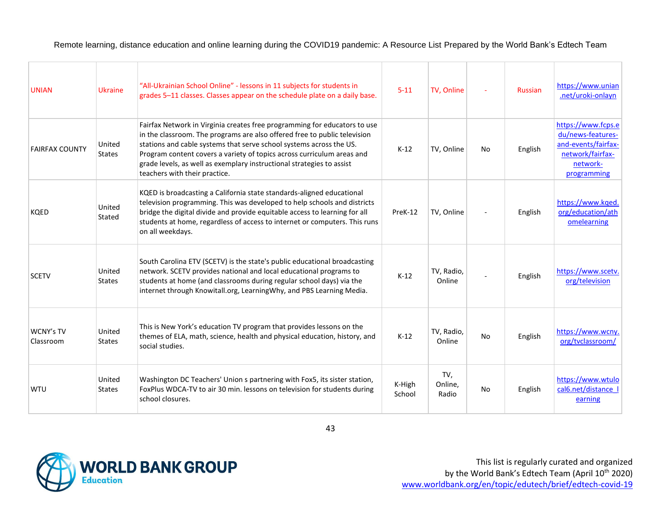| <b>UNIAN</b>                  | <b>Ukraine</b>          | "All-Ukrainian School Online" - lessons in 11 subjects for students in<br>grades 5-11 classes. Classes appear on the schedule plate on a daily base.                                                                                                                                                                                                                                                              | $5 - 11$         | TV, Online              |           | <b>Russian</b> | https://www.unian<br>.net/uroki-onlayn                                                                        |
|-------------------------------|-------------------------|-------------------------------------------------------------------------------------------------------------------------------------------------------------------------------------------------------------------------------------------------------------------------------------------------------------------------------------------------------------------------------------------------------------------|------------------|-------------------------|-----------|----------------|---------------------------------------------------------------------------------------------------------------|
| <b>FAIRFAX COUNTY</b>         | United<br><b>States</b> | Fairfax Network in Virginia creates free programming for educators to use<br>in the classroom. The programs are also offered free to public television<br>stations and cable systems that serve school systems across the US.<br>Program content covers a variety of topics across curriculum areas and<br>grade levels, as well as exemplary instructional strategies to assist<br>teachers with their practice. | $K-12$           | TV, Online              | No        | English        | https://www.fcps.e<br>du/news-features-<br>and-events/fairfax-<br>network/fairfax-<br>network-<br>programming |
| KQED                          | United<br>Stated        | KQED is broadcasting a California state standards-aligned educational<br>television programming. This was developed to help schools and districts<br>bridge the digital divide and provide equitable access to learning for all<br>students at home, regardless of access to internet or computers. This runs<br>on all weekdays.                                                                                 | PreK-12          | TV, Online              |           | English        | https://www.kqed.<br>org/education/ath<br>omelearning                                                         |
| <b>SCETV</b>                  | United<br><b>States</b> | South Carolina ETV (SCETV) is the state's public educational broadcasting<br>network. SCETV provides national and local educational programs to<br>students at home (and classrooms during regular school days) via the<br>internet through Knowitall.org, LearningWhy, and PBS Learning Media.                                                                                                                   | $K-12$           | TV, Radio,<br>Online    |           | English        | https://www.scetv.<br>org/television                                                                          |
| <b>WCNY's TV</b><br>Classroom | United<br><b>States</b> | This is New York's education TV program that provides lessons on the<br>themes of ELA, math, science, health and physical education, history, and<br>social studies.                                                                                                                                                                                                                                              | $K-12$           | TV, Radio,<br>Online    | <b>No</b> | English        | https://www.wcnv.<br>org/tvclassroom/                                                                         |
| <b>WTU</b>                    | United<br><b>States</b> | Washington DC Teachers' Union s partnering with Fox5, its sister station,<br>FoxPlus WDCA-TV to air 30 min. lessons on television for students during<br>school closures.                                                                                                                                                                                                                                         | K-High<br>School | TV,<br>Online,<br>Radio | No        | English        | https://www.wtulo<br>cal6.net/distance I<br>earning                                                           |